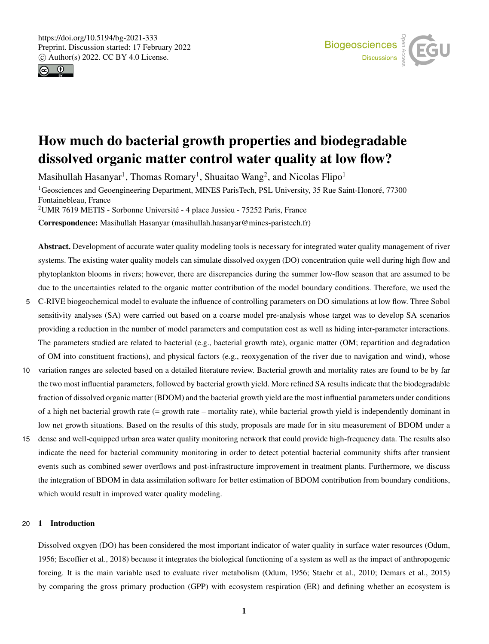



# How much do bacterial growth properties and biodegradable dissolved organic matter control water quality at low flow?

Masihullah Hasanyar $^1$ , Thomas Romary $^1$ , Shuaitao Wang $^2$ , and Nicolas Flipo $^1$ 

<sup>1</sup>Geosciences and Geoengineering Department, MINES ParisTech, PSL University, 35 Rue Saint-Honoré, 77300 Fontainebleau, France

<sup>2</sup>UMR 7619 METIS - Sorbonne Université - 4 place Jussieu - 75252 Paris, France

Correspondence: Masihullah Hasanyar (masihullah.hasanyar@mines-paristech.fr)

Abstract. Development of accurate water quality modeling tools is necessary for integrated water quality management of river systems. The existing water quality models can simulate dissolved oxygen (DO) concentration quite well during high flow and phytoplankton blooms in rivers; however, there are discrepancies during the summer low-flow season that are assumed to be due to the uncertainties related to the organic matter contribution of the model boundary conditions. Therefore, we used the

- 5 C-RIVE biogeochemical model to evaluate the influence of controlling parameters on DO simulations at low flow. Three Sobol sensitivity analyses (SA) were carried out based on a coarse model pre-analysis whose target was to develop SA scenarios providing a reduction in the number of model parameters and computation cost as well as hiding inter-parameter interactions. The parameters studied are related to bacterial (e.g., bacterial growth rate), organic matter (OM; repartition and degradation of OM into constituent fractions), and physical factors (e.g., reoxygenation of the river due to navigation and wind), whose
- 10 variation ranges are selected based on a detailed literature review. Bacterial growth and mortality rates are found to be by far the two most influential parameters, followed by bacterial growth yield. More refined SA results indicate that the biodegradable fraction of dissolved organic matter (BDOM) and the bacterial growth yield are the most influential parameters under conditions of a high net bacterial growth rate (= growth rate – mortality rate), while bacterial growth yield is independently dominant in low net growth situations. Based on the results of this study, proposals are made for in situ measurement of BDOM under a
- 15 dense and well-equipped urban area water quality monitoring network that could provide high-frequency data. The results also indicate the need for bacterial community monitoring in order to detect potential bacterial community shifts after transient events such as combined sewer overflows and post-infrastructure improvement in treatment plants. Furthermore, we discuss the integration of BDOM in data assimilation software for better estimation of BDOM contribution from boundary conditions, which would result in improved water quality modeling.

# 20 1 Introduction

Dissolved oxgyen (DO) has been considered the most important indicator of water quality in surface water resources (Odum, 1956; Escoffier et al., 2018) because it integrates the biological functioning of a system as well as the impact of anthropogenic forcing. It is the main variable used to evaluate river metabolism (Odum, 1956; Staehr et al., 2010; Demars et al., 2015) by comparing the gross primary production (GPP) with ecosystem respiration (ER) and defining whether an ecosystem is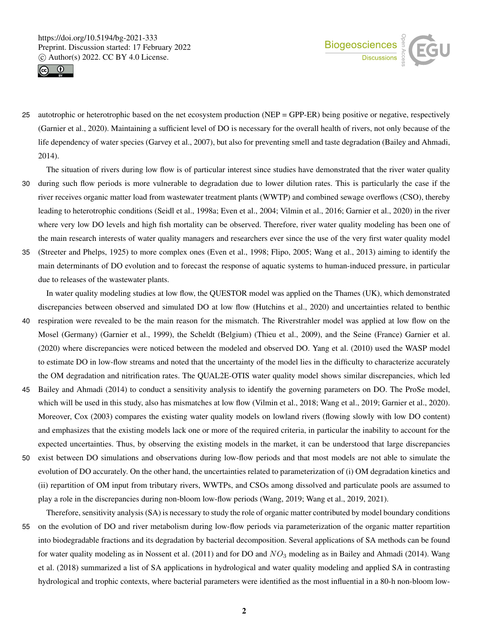



- 25 autotrophic or heterotrophic based on the net ecosystem production (NEP = GPP-ER) being positive or negative, respectively (Garnier et al., 2020). Maintaining a sufficient level of DO is necessary for the overall health of rivers, not only because of the life dependency of water species (Garvey et al., 2007), but also for preventing smell and taste degradation (Bailey and Ahmadi, 2014).
- The situation of rivers during low flow is of particular interest since studies have demonstrated that the river water quality 30 during such flow periods is more vulnerable to degradation due to lower dilution rates. This is particularly the case if the river receives organic matter load from wastewater treatment plants (WWTP) and combined sewage overflows (CSO), thereby leading to heterotrophic conditions (Seidl et al., 1998a; Even et al., 2004; Vilmin et al., 2016; Garnier et al., 2020) in the river where very low DO levels and high fish mortality can be observed. Therefore, river water quality modeling has been one of the main research interests of water quality managers and researchers ever since the use of the very first water quality model
- 35 (Streeter and Phelps, 1925) to more complex ones (Even et al., 1998; Flipo, 2005; Wang et al., 2013) aiming to identify the main determinants of DO evolution and to forecast the response of aquatic systems to human-induced pressure, in particular due to releases of the wastewater plants.

In water quality modeling studies at low flow, the QUESTOR model was applied on the Thames (UK), which demonstrated discrepancies between observed and simulated DO at low flow (Hutchins et al., 2020) and uncertainties related to benthic

- 40 respiration were revealed to be the main reason for the mismatch. The Riverstrahler model was applied at low flow on the Mosel (Germany) (Garnier et al., 1999), the Scheldt (Belgium) (Thieu et al., 2009), and the Seine (France) Garnier et al. (2020) where discrepancies were noticed between the modeled and observed DO. Yang et al. (2010) used the WASP model to estimate DO in low-flow streams and noted that the uncertainty of the model lies in the difficulty to characterize accurately the OM degradation and nitrification rates. The QUAL2E-OTIS water quality model shows similar discrepancies, which led
- 45 Bailey and Ahmadi (2014) to conduct a sensitivity analysis to identify the governing parameters on DO. The ProSe model, which will be used in this study, also has mismatches at low flow (Vilmin et al., 2018; Wang et al., 2019; Garnier et al., 2020). Moreover, Cox (2003) compares the existing water quality models on lowland rivers (flowing slowly with low DO content) and emphasizes that the existing models lack one or more of the required criteria, in particular the inability to account for the expected uncertainties. Thus, by observing the existing models in the market, it can be understood that large discrepancies
- 50 exist between DO simulations and observations during low-flow periods and that most models are not able to simulate the evolution of DO accurately. On the other hand, the uncertainties related to parameterization of (i) OM degradation kinetics and (ii) repartition of OM input from tributary rivers, WWTPs, and CSOs among dissolved and particulate pools are assumed to play a role in the discrepancies during non-bloom low-flow periods (Wang, 2019; Wang et al., 2019, 2021).

Therefore, sensitivity analysis (SA) is necessary to study the role of organic matter contributed by model boundary conditions

55 on the evolution of DO and river metabolism during low-flow periods via parameterization of the organic matter repartition into biodegradable fractions and its degradation by bacterial decomposition. Several applications of SA methods can be found for water quality modeling as in Nossent et al. (2011) and for DO and  $NO<sub>3</sub>$  modeling as in Bailey and Ahmadi (2014). Wang et al. (2018) summarized a list of SA applications in hydrological and water quality modeling and applied SA in contrasting hydrological and trophic contexts, where bacterial parameters were identified as the most influential in a 80-h non-bloom low-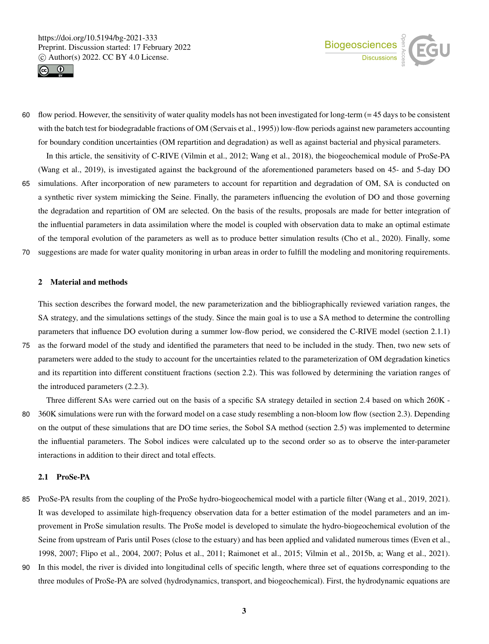



60 flow period. However, the sensitivity of water quality models has not been investigated for long-term  $(= 45 \text{ days to be consistent})$ with the batch test for biodegradable fractions of OM (Servais et al., 1995)) low-flow periods against new parameters accounting for boundary condition uncertainties (OM repartition and degradation) as well as against bacterial and physical parameters. In this article, the sensitivity of C-RIVE (Vilmin et al., 2012; Wang et al., 2018), the biogeochemical module of ProSe-PA

(Wang et al., 2019), is investigated against the background of the aforementioned parameters based on 45- and 5-day DO

- 65 simulations. After incorporation of new parameters to account for repartition and degradation of OM, SA is conducted on a synthetic river system mimicking the Seine. Finally, the parameters influencing the evolution of DO and those governing the degradation and repartition of OM are selected. On the basis of the results, proposals are made for better integration of the influential parameters in data assimilation where the model is coupled with observation data to make an optimal estimate of the temporal evolution of the parameters as well as to produce better simulation results (Cho et al., 2020). Finally, some
- 70 suggestions are made for water quality monitoring in urban areas in order to fulfill the modeling and monitoring requirements.

# 2 Material and methods

This section describes the forward model, the new parameterization and the bibliographically reviewed variation ranges, the SA strategy, and the simulations settings of the study. Since the main goal is to use a SA method to determine the controlling parameters that influence DO evolution during a summer low-flow period, we considered the C-RIVE model (section 2.1.1)

75 as the forward model of the study and identified the parameters that need to be included in the study. Then, two new sets of parameters were added to the study to account for the uncertainties related to the parameterization of OM degradation kinetics and its repartition into different constituent fractions (section 2.2). This was followed by determining the variation ranges of the introduced parameters (2.2.3).

Three different SAs were carried out on the basis of a specific SA strategy detailed in section 2.4 based on which 260K - 80 360K simulations were run with the forward model on a case study resembling a non-bloom low flow (section 2.3). Depending on the output of these simulations that are DO time series, the Sobol SA method (section 2.5) was implemented to determine the influential parameters. The Sobol indices were calculated up to the second order so as to observe the inter-parameter interactions in addition to their direct and total effects.

# 2.1 ProSe-PA

- 85 ProSe-PA results from the coupling of the ProSe hydro-biogeochemical model with a particle filter (Wang et al., 2019, 2021). It was developed to assimilate high-frequency observation data for a better estimation of the model parameters and an improvement in ProSe simulation results. The ProSe model is developed to simulate the hydro-biogeochemical evolution of the Seine from upstream of Paris until Poses (close to the estuary) and has been applied and validated numerous times (Even et al., 1998, 2007; Flipo et al., 2004, 2007; Polus et al., 2011; Raimonet et al., 2015; Vilmin et al., 2015b, a; Wang et al., 2021).
- 90 In this model, the river is divided into longitudinal cells of specific length, where three set of equations corresponding to the three modules of ProSe-PA are solved (hydrodynamics, transport, and biogeochemical). First, the hydrodynamic equations are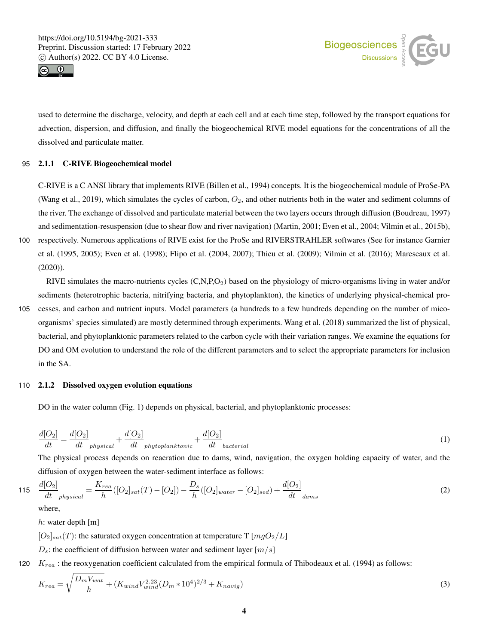



used to determine the discharge, velocity, and depth at each cell and at each time step, followed by the transport equations for advection, dispersion, and diffusion, and finally the biogeochemical RIVE model equations for the concentrations of all the dissolved and particulate matter.

## 95 2.1.1 C-RIVE Biogeochemical model

C-RIVE is a C ANSI library that implements RIVE (Billen et al., 1994) concepts. It is the biogeochemical module of ProSe-PA (Wang et al., 2019), which simulates the cycles of carbon,  $O_2$ , and other nutrients both in the water and sediment columns of the river. The exchange of dissolved and particulate material between the two layers occurs through diffusion (Boudreau, 1997) and sedimentation-resuspension (due to shear flow and river navigation) (Martin, 2001; Even et al., 2004; Vilmin et al., 2015b),

100 respectively. Numerous applications of RIVE exist for the ProSe and RIVERSTRAHLER softwares (See for instance Garnier et al. (1995, 2005); Even et al. (1998); Flipo et al. (2004, 2007); Thieu et al. (2009); Vilmin et al. (2016); Marescaux et al. (2020)).

RIVE simulates the macro-nutrients cycles (C,N,P,O2) based on the physiology of micro-organisms living in water and/or sediments (heterotrophic bacteria, nitrifying bacteria, and phytoplankton), the kinetics of underlying physical-chemical pro-

105 cesses, and carbon and nutrient inputs. Model parameters (a hundreds to a few hundreds depending on the number of micoorganisms' species simulated) are mostly determined through experiments. Wang et al. (2018) summarized the list of physical, bacterial, and phytoplanktonic parameters related to the carbon cycle with their variation ranges. We examine the equations for DO and OM evolution to understand the role of the different parameters and to select the appropriate parameters for inclusion in the SA.

## 110 2.1.2 Dissolved oxygen evolution equations

DO in the water column (Fig. 1) depends on physical, bacterial, and phytoplanktonic processes:

$$
\frac{d[O_2]}{dt} = \frac{d[O_2]}{dt} \frac{1}{\text{physical}} + \frac{d[O_2]}{dt} \frac{1}{\text{phytoplanktonic}} + \frac{d[O_2]}{dt} \frac{1}{\text{bacterial}} \tag{1}
$$

The physical process depends on reaeration due to dams, wind, navigation, the oxygen holding capacity of water, and the diffusion of oxygen between the water-sediment interface as follows:

$$
115 \quad \frac{d[O_2]}{dt} \quad \frac{d[O_2]}{h} = \frac{K_{rea}}{h}([O_2]_{sat}(T) - [O_2]) - \frac{D_s}{h}([O_2]_{water} - [O_2]_{sed}) + \frac{d[O_2]}{dt} \quad \text{(2)}
$$

where,

h: water depth [m]

 $[O_2]_{sat}(T)$ : the saturated oxygen concentration at temperature T  $[mqO_2/L]$ 

 $D_s$ : the coefficient of diffusion between water and sediment layer  $[m/s]$ 

120  $K_{rea}$ : the reoxygenation coefficient calculated from the empirical formula of Thibodeaux et al. (1994) as follows:

$$
K_{rea} = \sqrt{\frac{D_m V_{wat}}{h}} + (K_{wind} V_{wind}^{2.23} (D_m * 10^4)^{2/3} + K_{navig})
$$
\n(3)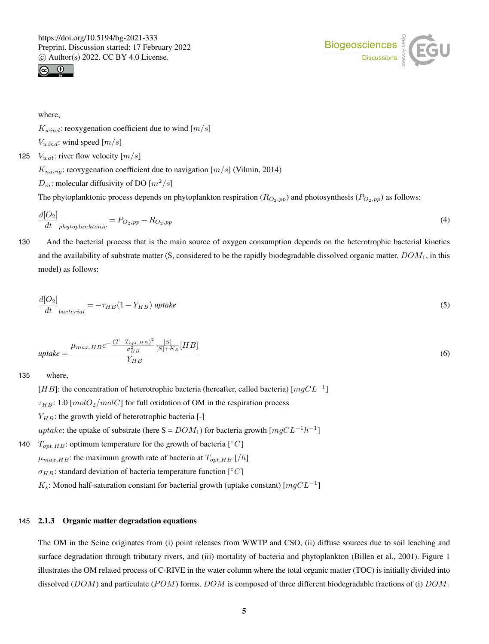

where,

 $K_{wind}$ : reoxygenation coefficient due to wind  $[m/s]$ 

$$
V_{wind}
$$
: wind speed  $[m/s]$ 

125  $V_{wat}$ : river flow velocity  $[m/s]$ 

 $K_{navig}$ : reoxygenation coefficient due to navigation [ $m/s$ ] (Vilmin, 2014)

 $D_m$ : molecular diffusivity of DO  $[m^2/s]$ 

The phytoplanktonic process depends on phytoplankton respiration ( $R_{O_2,pp}$ ) and photosynthesis ( $P_{O_2,pp}$ ) as follows:

$$
\frac{d[O_2]}{dt}_{phytoplanktonic} = P_{O_2,pp} - R_{O_2,pp}
$$
\n
$$
\tag{4}
$$

130 And the bacterial process that is the main source of oxygen consumption depends on the heterotrophic bacterial kinetics and the availability of substrate matter (S, considered to be the rapidly biodegradable dissolved organic matter,  $DOM_1$ , in this model) as follows:

$$
\frac{d[O_2]}{dt}_{bacterial} = -\tau_{HB}(1 - Y_{HB}) \text{ uptake} \tag{5}
$$

$$
update = \frac{\mu_{max, HBe} - \frac{(T - T_{opt, HB})^2}{\sigma_{HB}^2} \frac{[S]}{[S] + K_S} [HB]}{Y_{HB}}
$$
\n
$$
(6)
$$

135 where,

[HB]: the concentration of heterotrophic bacteria (hereafter, called bacteria) [ $mgCL^{-1}$ ]

 $\tau_{HB}$ : 1.0 [molO<sub>2</sub>/molC] for full oxidation of OM in the respiration process

 $Y_{HB}$ : the growth yield of heterotrophic bacteria [-]

uptake: the uptake of substrate (here  $S = DOM_1$ ) for bacteria growth  $[mgCL^{-1}h^{-1}]$ 

140  $T_{opt, HB}$ : optimum temperature for the growth of bacteria [°C]

 $\mu_{max,HB}$ : the maximum growth rate of bacteria at  $T_{opt,HB}$  [/h]

 $\sigma_{HB}$ : standard deviation of bacteria temperature function [°C]

 $K_s$ : Monod half-saturation constant for bacterial growth (uptake constant) [ $mgCL^{-1}$ ]

# 145 2.1.3 Organic matter degradation equations

The OM in the Seine originates from (i) point releases from WWTP and CSO, (ii) diffuse sources due to soil leaching and surface degradation through tributary rivers, and (iii) mortality of bacteria and phytoplankton (Billen et al., 2001). Figure 1 illustrates the OM related process of C-RIVE in the water column where the total organic matter (TOC) is initially divided into dissolved (DOM) and particulate (POM) forms. DOM is composed of three different biodegradable fractions of (i)  $DOM_1$ 

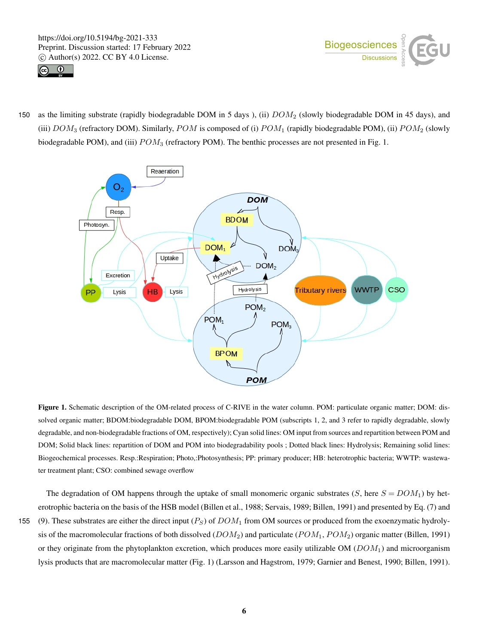



150 as the limiting substrate (rapidly biodegradable DOM in 5 days), (ii)  $DOM_2$  (slowly biodegradable DOM in 45 days), and (iii)  $DOM_3$  (refractory DOM). Similarly,  $POM$  is composed of (i)  $POM_1$  (rapidly biodegradable POM), (ii)  $POM_2$  (slowly biodegradable POM), and (iii)  $POM_3$  (refractory POM). The benthic processes are not presented in Fig. 1.



Figure 1. Schematic description of the OM-related process of C-RIVE in the water column. POM: particulate organic matter; DOM: dissolved organic matter; BDOM:biodegradable DOM, BPOM:biodegradable POM (subscripts 1, 2, and 3 refer to rapidly degradable, slowly degradable, and non-biodegradable fractions of OM, respectively); Cyan solid lines: OM input from sources and repartition between POM and DOM; Solid black lines: repartition of DOM and POM into biodegradability pools ; Dotted black lines: Hydrolysis; Remaining solid lines: Biogeochemical processes. Resp.:Respiration; Photo,:Photosynthesis; PP: primary producer; HB: heterotrophic bacteria; WWTP: wastewater treatment plant; CSO: combined sewage overflow

The degradation of OM happens through the uptake of small monomeric organic substrates  $(S, \text{here } S = DOM_1)$  by heterotrophic bacteria on the basis of the HSB model (Billen et al., 1988; Servais, 1989; Billen, 1991) and presented by Eq. (7) and 155 (9). These substrates are either the direct input  $(P<sub>S</sub>)$  of  $DOM<sub>1</sub>$  from OM sources or produced from the exoenzymatic hydrolysis of the macromolecular fractions of both dissolved  $(DOM_2)$  and particulate  $(POM_1, POM_2)$  organic matter (Billen, 1991) or they originate from the phytoplankton excretion, which produces more easily utilizable OM  $(DOM<sub>1</sub>)$  and microorganism lysis products that are macromolecular matter (Fig. 1) (Larsson and Hagstrom, 1979; Garnier and Benest, 1990; Billen, 1991).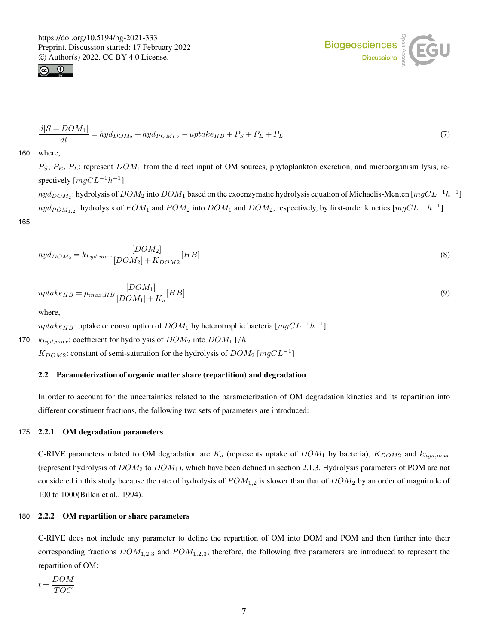



$$
\frac{d[S = DOM_1]}{dt} = hyd_{DOM_2} + hyd_{POM_{1,2}} - uptake_{HB} + P_S + P_E + P_L
$$
\n(7)

160 where,

165

 $P_S$ ,  $P_E$ ,  $P_L$ : represent  $DOM_1$  from the direct input of OM sources, phytoplankton excretion, and microorganism lysis, respectively  $[mgCL^{-1}h^{-1}]$ 

 $hyd_{DOM_2}$ : hydrolysis of  $DOM_2$  into  $DOM_1$  based on the exoenzymatic hydrolysis equation of Michaelis-Menten [ $mgCL^{-1}h^{-1}$ ]  $hyd_{POM_{1,2}}$ : hydrolysis of  $POM_1$  and  $POM_2$  into  $DOM_1$  and  $DOM_2$ , respectively, by first-order kinetics [ $mgCL^{-1}h^{-1}$ ]

$$
hyd_{DOM_2} = k_{hyd,max} \frac{[DOM_2]}{[DOM_2] + K_{DOM2}} [HB]
$$
\n
$$
(8)
$$

$$
uptake_{HB} = \mu_{max,HB} \frac{[DOM_1]}{[DOM_1] + K_s}[HB]
$$
\n(9)

where,

uptake<sub>HB</sub>: uptake or consumption of  $DOM_1$  by heterotrophic bacteria [ $mgCL^{-1}h^{-1}$ ]

170  $k_{hyd,max}$ : coefficient for hydrolysis of  $DOM_2$  into  $DOM_1$  [/h]

 $K_{DOM2}$ : constant of semi-saturation for the hydrolysis of  $DOM_2$  [ $mgCL^{-1}$ ]

# 2.2 Parameterization of organic matter share (repartition) and degradation

In order to account for the uncertainties related to the parameterization of OM degradation kinetics and its repartition into different constituent fractions, the following two sets of parameters are introduced:

# 175 2.2.1 OM degradation parameters

C-RIVE parameters related to OM degradation are  $K_s$  (represents uptake of  $DOM_1$  by bacteria),  $K_{DOM2}$  and  $k_{hyd,max}$ (represent hydrolysis of  $DOM_2$  to  $DOM_1$ ), which have been defined in section 2.1.3. Hydrolysis parameters of POM are not considered in this study because the rate of hydrolysis of  $POM_{1,2}$  is slower than that of  $DOM_2$  by an order of magnitude of 100 to 1000(Billen et al., 1994).

## 180 2.2.2 OM repartition or share parameters

C-RIVE does not include any parameter to define the repartition of OM into DOM and POM and then further into their corresponding fractions  $DOM_{1,2,3}$  and  $POM_{1,2,3}$ ; therefore, the following five parameters are introduced to represent the repartition of OM:

$$
t = \frac{DOM}{TOC}
$$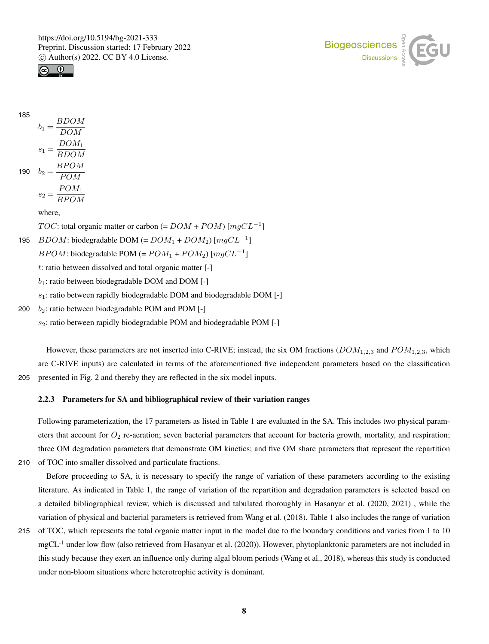



185

 $b_1 = \frac{BDOM}{DOM}$ DOM  $s_1 = \frac{DOM_1}{PDOM_1}$ 

$$
190 \t b2 = \frac{B P O M}{P O M}
$$

$$
s_2 = \frac{POM_1}{B POM}
$$

where,

*TOC*: total organic matter or carbon (=  $DOM + POM$ ) [ $mgCL^{-1}$ ] 195 *BDOM*: biodegradable DOM (=  $DOM_1 + DOM_2$ ) [ $mgCL^{-1}$ ]  $B POM$ : biodegradable POM (=  $POM_1 + POM_2$ ) [ $mgCL^{-1}$ ] t: ratio between dissolved and total organic matter [-]  $b_1$ : ratio between biodegradable DOM and DOM [-]  $s_1$ : ratio between rapidly biodegradable DOM and biodegradable DOM [-]

200  $b_2$ : ratio between biodegradable POM and POM [-]

 $s_2$ : ratio between rapidly biodegradable POM and biodegradable POM [-]

However, these parameters are not inserted into C-RIVE; instead, the six OM fractions  $(DOM_{1,2,3}$  and  $POM_{1,2,3}$ , which are C-RIVE inputs) are calculated in terms of the aforementioned five independent parameters based on the classification 205 presented in Fig. 2 and thereby they are reflected in the six model inputs.

# 2.2.3 Parameters for SA and bibliographical review of their variation ranges

Following parameterization, the 17 parameters as listed in Table 1 are evaluated in the SA. This includes two physical parameters that account for  $O_2$  re-aeration; seven bacterial parameters that account for bacteria growth, mortality, and respiration; three OM degradation parameters that demonstrate OM kinetics; and five OM share parameters that represent the repartition 210 of TOC into smaller dissolved and particulate fractions.

Before proceeding to SA, it is necessary to specify the range of variation of these parameters according to the existing literature. As indicated in Table 1, the range of variation of the repartition and degradation parameters is selected based on a detailed bibliographical review, which is discussed and tabulated thoroughly in Hasanyar et al. (2020, 2021) , while the variation of physical and bacterial parameters is retrieved from Wang et al. (2018). Table 1 also includes the range of variation

215 of TOC, which represents the total organic matter input in the model due to the boundary conditions and varies from 1 to 10  $mgCL<sup>-1</sup>$  under low flow (also retrieved from Hasanyar et al. (2020)). However, phytoplanktonic parameters are not included in this study because they exert an influence only during algal bloom periods (Wang et al., 2018), whereas this study is conducted under non-bloom situations where heterotrophic activity is dominant.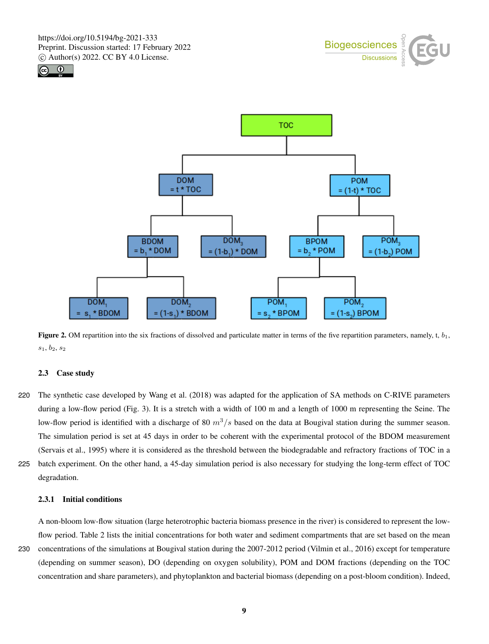





**Figure 2.** OM repartition into the six fractions of dissolved and particulate matter in terms of the five repartition parameters, namely, t,  $b_1$ , s1, b2, s<sup>2</sup>

## 2.3 Case study

- 220 The synthetic case developed by Wang et al. (2018) was adapted for the application of SA methods on C-RIVE parameters during a low-flow period (Fig. 3). It is a stretch with a width of 100 m and a length of 1000 m representing the Seine. The low-flow period is identified with a discharge of 80  $m^3/s$  based on the data at Bougival station during the summer season. The simulation period is set at 45 days in order to be coherent with the experimental protocol of the BDOM measurement (Servais et al., 1995) where it is considered as the threshold between the biodegradable and refractory fractions of TOC in a
- 225 batch experiment. On the other hand, a 45-day simulation period is also necessary for studying the long-term effect of TOC degradation.

# 2.3.1 Initial conditions

A non-bloom low-flow situation (large heterotrophic bacteria biomass presence in the river) is considered to represent the lowflow period. Table 2 lists the initial concentrations for both water and sediment compartments that are set based on the mean 230 concentrations of the simulations at Bougival station during the 2007-2012 period (Vilmin et al., 2016) except for temperature (depending on summer season), DO (depending on oxygen solubility), POM and DOM fractions (depending on the TOC concentration and share parameters), and phytoplankton and bacterial biomass (depending on a post-bloom condition). Indeed,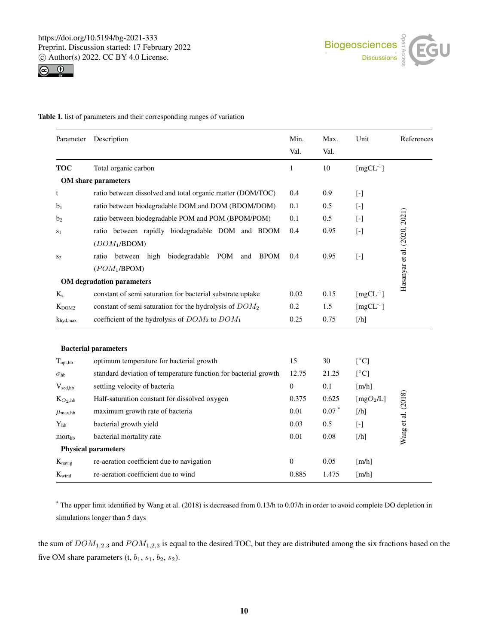

Table 1. list of parameters and their corresponding ranges of variation

| Parameter             | Description                                                      | Min.           | Max.    | Unit                     | References                   |
|-----------------------|------------------------------------------------------------------|----------------|---------|--------------------------|------------------------------|
|                       |                                                                  | Val.           | Val.    |                          |                              |
| <b>TOC</b>            | Total organic carbon                                             | 1              | 10      | $[mgCL^{-1}]$            |                              |
|                       | <b>OM</b> share parameters                                       |                |         |                          |                              |
| t                     | ratio between dissolved and total organic matter (DOM/TOC)       | 0.4            | 0.9     | $[\cdot]$                |                              |
| b <sub>1</sub>        | ratio between biodegradable DOM and DOM (BDOM/DOM)               | 0.1            | 0.5     | $[ - ]$                  |                              |
| b <sub>2</sub>        | ratio between biodegradable POM and POM (BPOM/POM)               | 0.1            | 0.5     | $[ - ]$                  |                              |
| S <sub>1</sub>        | ratio between rapidly biodegradable DOM and BDOM                 | 0.4            | 0.95    | $[\cdot]$                | Hasanyar et al. (2020, 2021) |
|                       | (DOM <sub>1</sub> /BDOM)                                         |                |         |                          |                              |
| S <sub>2</sub>        | biodegradable POM<br>between high<br><b>BPOM</b><br>ratio<br>and | 0.4            | 0.95    | $[\cdot]$                |                              |
|                       | (POM <sub>1</sub> /BPOM)                                         |                |         |                          |                              |
|                       | <b>OM</b> degradation parameters                                 |                |         |                          |                              |
| $K_s$                 | constant of semi saturation for bacterial substrate uptake       | 0.02           | 0.15    | $[mgCL^{-1}]$            |                              |
| $K_{DOM2}$            | constant of semi saturation for the hydrolysis of $DOM_2$        | 0.2            | 1.5     | $[mgCL^{-1}]$            |                              |
| $k_{\text{hyd,max}}$  | coefficient of the hydrolysis of $DOM_2$ to $DOM_1$              | 0.25           | 0.75    | [/h]                     |                              |
|                       |                                                                  |                |         |                          |                              |
|                       | <b>Bacterial parameters</b>                                      |                |         |                          |                              |
| $T_{\text{opt,hb}}$   | optimum temperature for bacterial growth                         | 15             | 30      | $\lceil$ <sup>o</sup> C] |                              |
| $\sigma_{\rm hb}$     | standard deviation of temperature function for bacterial growth  | 12.75          | 21.25   | [°C]                     |                              |
| $V_{sed,hb}$          | settling velocity of bacteria                                    | $\overline{0}$ | 0.1     | [m/h]                    |                              |
| $K_{O_2, hb}$         | Half-saturation constant for dissolved oxygen                    | 0.375          | 0.625   | [mgO <sub>2</sub> /L]    |                              |
| $\mu_{\text{max,hb}}$ | maximum growth rate of bacteria                                  | 0.01           | $0.07*$ | [/h]                     |                              |
| $Y_{hh}$              | bacterial growth yield                                           | 0.03           | 0.5     | $[\cdot]$                | Wang et al. (2018)           |
| morthh                | bacterial mortality rate                                         |                | 0.08    | [/h]                     |                              |
|                       | <b>Physical parameters</b>                                       |                |         |                          |                              |
| $K_{\text{navig}}$    | re-aeration coefficient due to navigation                        | $\mathbf{0}$   | 0.05    | $\lceil m/h \rceil$      |                              |
| $K_{wind}$            | re-aeration coefficient due to wind                              | 0.885          | 1.475   | [m/h]                    |                              |

\* The upper limit identified by Wang et al. (2018) is decreased from 0.13/h to 0.07/h in order to avoid complete DO depletion in simulations longer than 5 days

the sum of  $DOM_{1,2,3}$  and  $POM_{1,2,3}$  is equal to the desired TOC, but they are distributed among the six fractions based on the five OM share parameters  $(t, b_1, s_1, b_2, s_2)$ .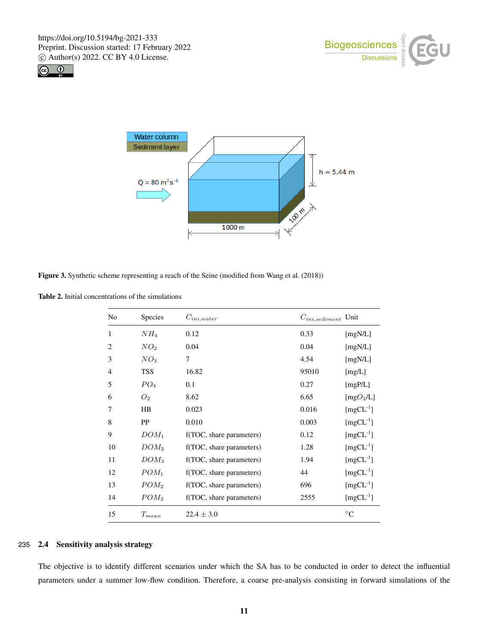





Figure 3. Synthetic scheme representing a reach of the Seine (modified from Wang et al. (2018))

Table 2. Initial concentrations of the simulations

| No             | Species              | $C_{ini,water}$          | $C_{ini, sediment}$ Unit |
|----------------|----------------------|--------------------------|--------------------------|
| 1              | NH <sub>4</sub>      | 0.12                     | 0.33<br>[ $mgN/L$ ]      |
| $\overline{c}$ | NO <sub>2</sub>      | 0.04                     | 0.04<br>[mgN/L]          |
| 3              | NO <sub>3</sub>      | $\tau$                   | 4.54<br>[ $mgN/L$ ]      |
| $\overline{4}$ | <b>TSS</b>           | 16.82                    | 95010<br>[mg/L]          |
| 5              | PO <sub>4</sub>      | 0.1                      | 0.27<br>[mgP/L]          |
| 6              | O <sub>2</sub>       | 8.62                     | 6.65<br>[ $mgO2/L$ ]     |
| 7              | HB                   | 0.023                    | 0.016<br>$[mgCL^{-1}]$   |
| 8              | PP                   | 0.010                    | $[mgCL^{-1}]$<br>0.003   |
| 9              | $DOM_1$              | f(TOC, share parameters) | $[mgCL^{-1}]$<br>0.12    |
| 10             | $DOM_2$              | f(TOC, share parameters) | $[mgCL^{-1}]$<br>1.28    |
| 11             | $DOM_3$              | f(TOC, share parameters) | $[mgCL^{-1}]$<br>1.94    |
| 12             | $POM_1$              | f(TOC, share parameters) | $[mgCL^{-1}]$<br>44      |
| 13             | POM <sub>2</sub>     | f(TOC, share parameters) | $[mgCL^{-1}]$<br>696     |
| 14             | $POM_3$              | f(TOC, share parameters) | $[mgCL^{-1}]$<br>2555    |
| 15             | $\mathcal{T}_{mean}$ | $22.4 \pm 3.0$           | $^{\circ}C$              |

#### 235 2.4 Sensitivity analysis strategy

The objective is to identify different scenarios under which the SA has to be conducted in order to detect the influential parameters under a summer low-flow condition. Therefore, a coarse pre-analysis consisting in forward simulations of the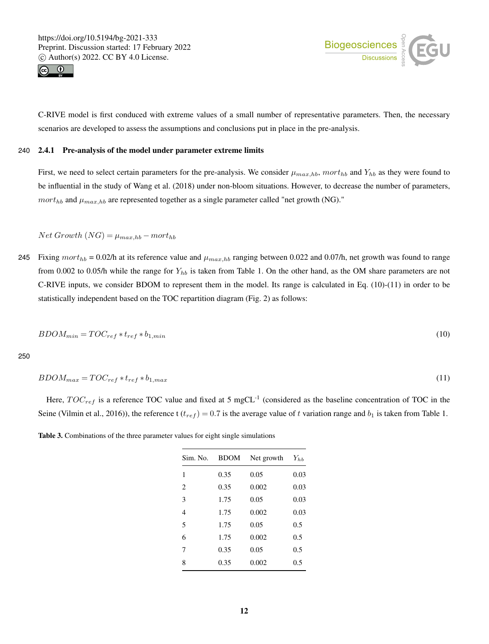



C-RIVE model is first conduced with extreme values of a small number of representative parameters. Then, the necessary scenarios are developed to assess the assumptions and conclusions put in place in the pre-analysis.

## 240 2.4.1 Pre-analysis of the model under parameter extreme limits

First, we need to select certain parameters for the pre-analysis. We consider  $\mu_{max,hb}$ , mort<sub>hb</sub> and  $Y_{hb}$  as they were found to be influential in the study of Wang et al. (2018) under non-bloom situations. However, to decrease the number of parameters,  $mort_{hb}$  and  $\mu_{max,hb}$  are represented together as a single parameter called "net growth (NG)."

 $Net Growth (NG) = \mu_{max,hb} - mort_{hb}$ 

245 Fixing  $mort_{hb} = 0.02/h$  at its reference value and  $\mu_{max,hb}$  ranging between 0.022 and 0.07/h, net growth was found to range from 0.002 to 0.05/h while the range for  $Y_{hb}$  is taken from Table 1. On the other hand, as the OM share parameters are not C-RIVE inputs, we consider BDOM to represent them in the model. Its range is calculated in Eq. (10)-(11) in order to be statistically independent based on the TOC repartition diagram (Fig. 2) as follows:

$$
BDOM_{min} = TOC_{ref} * t_{ref} * b_{1,min}
$$
\n
$$
(10)
$$

250

$$
BDOM_{max} = TOC_{ref} * t_{ref} * b_{1,max}
$$
\n
$$
(11)
$$

Here,  $TOC_{ref}$  is a reference TOC value and fixed at 5 mgCL<sup>-1</sup> (considered as the baseline concentration of TOC in the Seine (Vilmin et al., 2016)), the reference t ( $t_{ref}$ ) = 0.7 is the average value of t variation range and  $b_1$  is taken from Table 1.

| Sim. No.                      | <b>BDOM</b> | Net growth | $Y_{hb}$ |
|-------------------------------|-------------|------------|----------|
| 1                             | 0.35        | 0.05       | 0.03     |
| $\mathfrak{D}_{\mathfrak{p}}$ | 0.35        | 0.002      | 0.03     |
| 3                             | 1.75        | 0.05       | 0.03     |
| 4                             | 1.75        | 0.002      | 0.03     |
| 5                             | 1.75        | 0.05       | 0.5      |
| 6                             | 1.75        | 0.002      | 0.5      |
| 7                             | 0.35        | 0.05       | 0.5      |
| 8                             | 0.35        | 0.002      | 0.5      |

Table 3. Combinations of the three parameter values for eight single simulations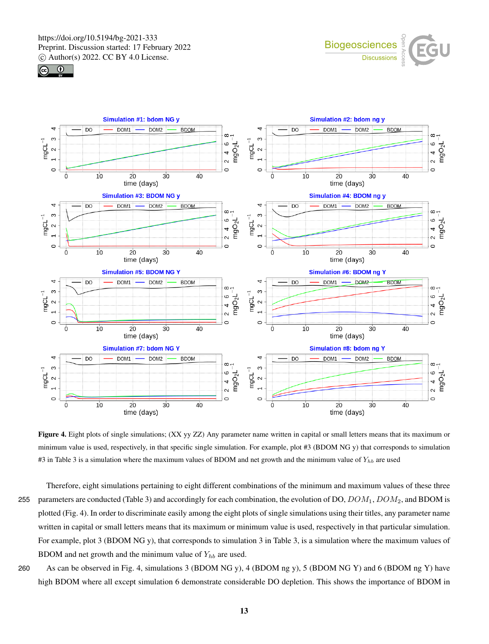





Figure 4. Eight plots of single simulations; (XX yy ZZ) Any parameter name written in capital or small letters means that its maximum or minimum value is used, respectively, in that specific single simulation. For example, plot #3 (BDOM NG y) that corresponds to simulation #3 in Table 3 is a simulation where the maximum values of BDOM and net growth and the minimum value of  $Y_{hb}$  are used

Therefore, eight simulations pertaining to eight different combinations of the minimum and maximum values of these three 255 parameters are conducted (Table 3) and accordingly for each combination, the evolution of DO,  $DOM_1, DOM_2$ , and BDOM is plotted (Fig. 4). In order to discriminate easily among the eight plots of single simulations using their titles, any parameter name written in capital or small letters means that its maximum or minimum value is used, respectively in that particular simulation. For example, plot 3 (BDOM NG y), that corresponds to simulation 3 in Table 3, is a simulation where the maximum values of BDOM and net growth and the minimum value of  $Y_{hb}$  are used.

260 As can be observed in Fig. 4, simulations 3 (BDOM NG y), 4 (BDOM ng y), 5 (BDOM NG Y) and 6 (BDOM ng Y) have high BDOM where all except simulation 6 demonstrate considerable DO depletion. This shows the importance of BDOM in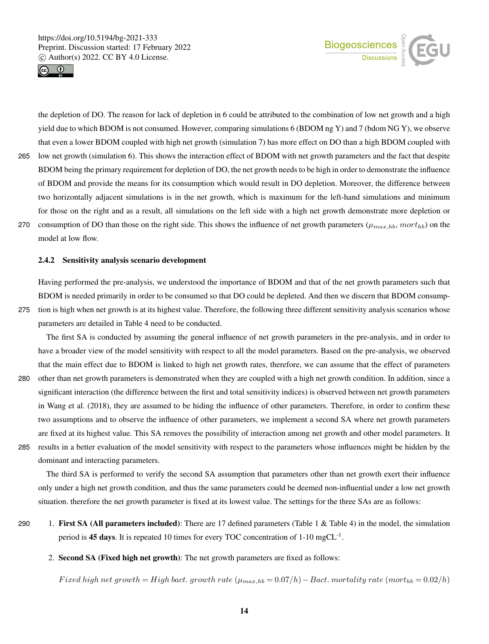



the depletion of DO. The reason for lack of depletion in 6 could be attributed to the combination of low net growth and a high yield due to which BDOM is not consumed. However, comparing simulations 6 (BDOM ng Y) and 7 (bdom NG Y), we observe that even a lower BDOM coupled with high net growth (simulation 7) has more effect on DO than a high BDOM coupled with 265 low net growth (simulation 6). This shows the interaction effect of BDOM with net growth parameters and the fact that despite BDOM being the primary requirement for depletion of DO, the net growth needs to be high in order to demonstrate the influence of BDOM and provide the means for its consumption which would result in DO depletion. Moreover, the difference between two horizontally adjacent simulations is in the net growth, which is maximum for the left-hand simulations and minimum for those on the right and as a result, all simulations on the left side with a high net growth demonstrate more depletion or 270 consumption of DO than those on the right side. This shows the influence of net growth parameters ( $\mu_{max,bb}$ , mort<sub>hb</sub>) on the model at low flow.

#### 2.4.2 Sensitivity analysis scenario development

Having performed the pre-analysis, we understood the importance of BDOM and that of the net growth parameters such that BDOM is needed primarily in order to be consumed so that DO could be depleted. And then we discern that BDOM consump-275 tion is high when net growth is at its highest value. Therefore, the following three different sensitivity analysis scenarios whose parameters are detailed in Table 4 need to be conducted.

The first SA is conducted by assuming the general influence of net growth parameters in the pre-analysis, and in order to have a broader view of the model sensitivity with respect to all the model parameters. Based on the pre-analysis, we observed that the main effect due to BDOM is linked to high net growth rates, therefore, we can assume that the effect of parameters 280 other than net growth parameters is demonstrated when they are coupled with a high net growth condition. In addition, since a significant interaction (the difference between the first and total sensitivity indices) is observed between net growth parameters in Wang et al. (2018), they are assumed to be hiding the influence of other parameters. Therefore, in order to confirm these two assumptions and to observe the influence of other parameters, we implement a second SA where net growth parameters are fixed at its highest value. This SA removes the possibility of interaction among net growth and other model parameters. It 285 results in a better evaluation of the model sensitivity with respect to the parameters whose influences might be hidden by the dominant and interacting parameters.

The third SA is performed to verify the second SA assumption that parameters other than net growth exert their influence only under a high net growth condition, and thus the same parameters could be deemed non-influential under a low net growth situation. therefore the net growth parameter is fixed at its lowest value. The settings for the three SAs are as follows:

- 290 1. First SA (All parameters included): There are 17 defined parameters (Table 1  $\&$  Table 4) in the model, the simulation period is 45 days. It is repeated 10 times for every TOC concentration of  $1\text{-}10 \text{ mgCL}^{-1}$ .
	- 2. Second SA (Fixed high net growth): The net growth parameters are fixed as follows:

Fixed high net growth = High bact. growth rate  $(\mu_{max,hb} = 0.07/h) -$  Bact. mortality rate  $(mort_{hb} = 0.02/h)$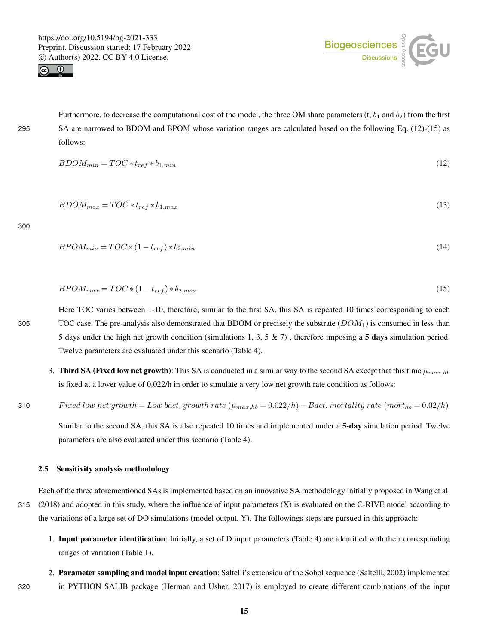



Furthermore, to decrease the computational cost of the model, the three OM share parameters  $(t, b_1 \text{ and } b_2)$  from the first 295 SA are narrowed to BDOM and BPOM whose variation ranges are calculated based on the following Eq. (12)-(15) as follows:

$$
BDOM_{min} = TOC * t_{ref} * b_{1,min} \tag{12}
$$

$$
BDOM_{max} = TOC * t_{ref} * b_{1,max} \tag{13}
$$

300

$$
BPOM_{min} = TOC*(1 - t_{ref})*b_{2,min} \tag{14}
$$

$$
BPOM_{max} = TOC*(1-t_{ref})*b_{2,max}
$$
\n
$$
(15)
$$

Here TOC varies between 1-10, therefore, similar to the first SA, this SA is repeated 10 times corresponding to each 305 TOC case. The pre-analysis also demonstrated that BDOM or precisely the substrate  $(DOM<sub>1</sub>)$  is consumed in less than 5 days under the high net growth condition (simulations 1, 3, 5 & 7) , therefore imposing a 5 days simulation period. Twelve parameters are evaluated under this scenario (Table 4).

3. Third SA (Fixed low net growth): This SA is conducted in a similar way to the second SA except that this time  $\mu_{max,hb}$ is fixed at a lower value of 0.022/h in order to simulate a very low net growth rate condition as follows:

310 Fixed low net growth = Low bact. growth rate  $(\mu_{max,hb} = 0.022/h) - Bact$ . mortality rate  $(mort_{hb} = 0.02/h)$ 

Similar to the second SA, this SA is also repeated 10 times and implemented under a 5-day simulation period. Twelve parameters are also evaluated under this scenario (Table 4).

#### 2.5 Sensitivity analysis methodology

Each of the three aforementioned SAs is implemented based on an innovative SA methodology initially proposed in Wang et al. 315  $(2018)$  and adopted in this study, where the influence of input parameters  $(X)$  is evaluated on the C-RIVE model according to the variations of a large set of DO simulations (model output, Y). The followings steps are pursued in this approach:

- 1. Input parameter identification: Initially, a set of D input parameters (Table 4) are identified with their corresponding ranges of variation (Table 1).
- 2. Parameter sampling and model input creation: Saltelli's extension of the Sobol sequence (Saltelli, 2002) implemented 320 in PYTHON SALIB package (Herman and Usher, 2017) is employed to create different combinations of the input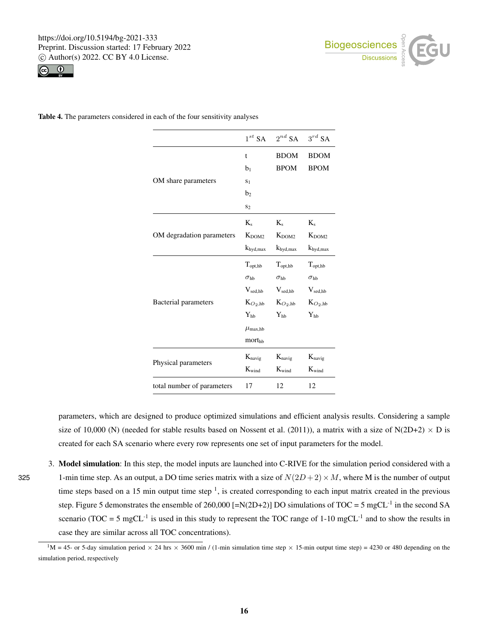



Table 4. The parameters considered in each of the four sensitivity analyses

|                            | $1^{st}$ SA           | $2^{nd}$ SA          | $3^{rd}$ SA              |
|----------------------------|-----------------------|----------------------|--------------------------|
|                            | t                     | <b>BDOM</b>          | <b>BDOM</b>              |
|                            | b <sub>1</sub>        | <b>BPOM</b>          | <b>BPOM</b>              |
| OM share parameters        | S <sub>1</sub>        |                      |                          |
|                            | b <sub>2</sub>        |                      |                          |
|                            | S <sub>2</sub>        |                      |                          |
|                            | $K_{s}$               | $K_{s}$              | $K_s$                    |
| OM degradation parameters  | $K_{DOM2}$            | $K_{DOM2}$           | $K_{DOM2}$               |
|                            | $k_{\text{hyd,max}}$  | $k_{\text{hyd,max}}$ | $k_{\text{hyd,max}}$     |
|                            | $T_{\text{opt, hb}}$  | $T_{opt, hb}$        | $T_{opt, hb}$            |
|                            | $\sigma_{\rm hb}$     | $\sigma_{\rm hb}$    | $\sigma_{\rm hb}$        |
|                            | $V_{\text{sed,hb}}$   | $V_{\text{sed},hb}$  | $V_{\text{sed},hb}$      |
| Bacterial parameters       | $K_{O_2, hb}$         | $K_{O_2, hb}$        | $K_{O_2, hb}$            |
|                            | $Y_{hb}$              | $Y_{hh}$             | $\mathbf{Y}_{\text{hb}}$ |
|                            | $\mu_{\text{max,hb}}$ |                      |                          |
|                            | morthb                |                      |                          |
|                            | $K_{\text{navig}}$    | $K_{\text{navig}}$   | $K_{\text{navig}}$       |
| Physical parameters        | $K_{wind}$            | $K_{wind}$           | $K_{\rm wind}$           |
| total number of parameters | 17                    | 12                   | 12                       |

parameters, which are designed to produce optimized simulations and efficient analysis results. Considering a sample size of 10,000 (N) (needed for stable results based on Nossent et al. (2011)), a matrix with a size of N(2D+2)  $\times$  D is created for each SA scenario where every row represents one set of input parameters for the model.

3. Model simulation: In this step, the model inputs are launched into C-RIVE for the simulation period considered with a 325 1-min time step. As an output, a DO time series matrix with a size of  $N(2D+2) \times M$ , where M is the number of output time steps based on a 15 min output time step  $\frac{1}{1}$ , is created corresponding to each input matrix created in the previous step. Figure 5 demonstrates the ensemble of 260,000 [=N(2D+2)] DO simulations of  $TOC = 5$  mgCL<sup>-1</sup> in the second SA scenario (TOC = 5 mgCL<sup>-1</sup> is used in this study to represent the TOC range of  $1\textrm{-}10 \textrm{ mgCL}^{-1}$  and to show the results in case they are similar across all TOC concentrations).

 ${}^{1}M$  = 45- or 5-day simulation period  $\times$  24 hrs  $\times$  3600 min / (1-min simulation time step  $\times$  15-min output time step) = 4230 or 480 depending on the simulation period, respectively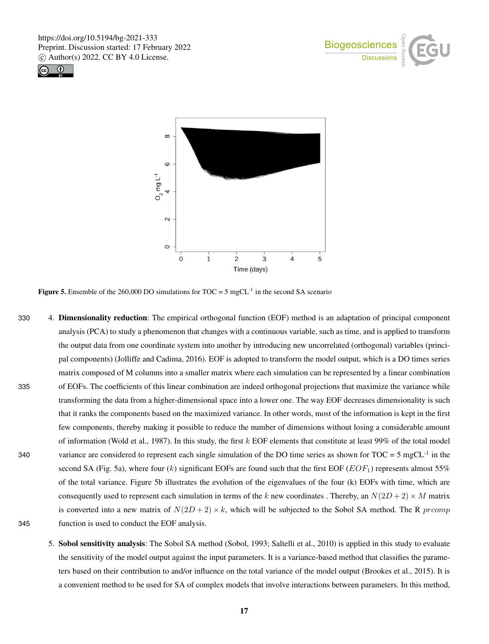





**Figure 5.** Ensemble of the 260,000 DO simulations for TOC = 5 mgCL<sup>-1</sup> in the second SA scenario

- 330 4. Dimensionality reduction: The empirical orthogonal function (EOF) method is an adaptation of principal component analysis (PCA) to study a phenomenon that changes with a continuous variable, such as time, and is applied to transform the output data from one coordinate system into another by introducing new uncorrelated (orthogonal) variables (principal components) (Jolliffe and Cadima, 2016). EOF is adopted to transform the model output, which is a DO times series matrix composed of M columns into a smaller matrix where each simulation can be represented by a linear combination 335 of EOFs. The coefficients of this linear combination are indeed orthogonal projections that maximize the variance while transforming the data from a higher-dimensional space into a lower one. The way EOF decreases dimensionality is such that it ranks the components based on the maximized variance. In other words, most of the information is kept in the first few components, thereby making it possible to reduce the number of dimensions without losing a considerable amount of information (Wold et al., 1987). In this study, the first  $k$  EOF elements that constitute at least 99% of the total model variance are considered to represent each single simulation of the DO time series as shown for  $TOC = 5$  mgCL<sup>-1</sup> in the second SA (Fig. 5a), where four  $(k)$  significant EOFs are found such that the first EOF ( $EOF_1$ ) represents almost 55% of the total variance. Figure 5b illustrates the evolution of the eigenvalues of the four (k) EOFs with time, which are consequently used to represent each simulation in terms of the k new coordinates . Thereby, an  $N(2D+2) \times M$  matrix is converted into a new matrix of  $N(2D+2) \times k$ , which will be subjected to the Sobol SA method. The R prcomp 345 function is used to conduct the EOF analysis.
	- 5. Sobol sensitivity analysis: The Sobol SA method (Sobol, 1993; Saltelli et al., 2010) is applied in this study to evaluate the sensitivity of the model output against the input parameters. It is a variance-based method that classifies the parameters based on their contribution to and/or influence on the total variance of the model output (Brookes et al., 2015). It is a convenient method to be used for SA of complex models that involve interactions between parameters. In this method,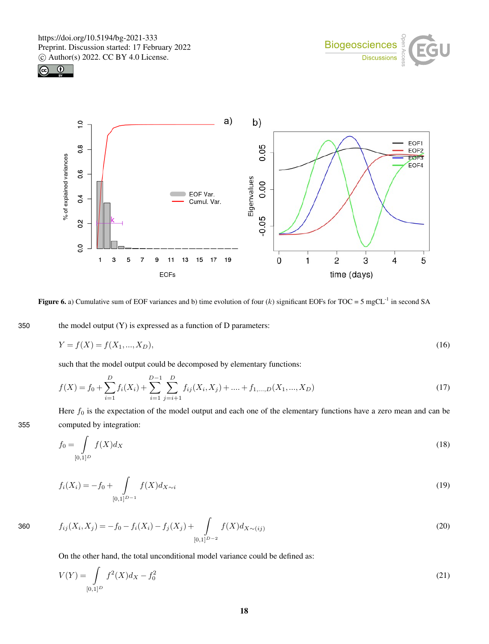





Figure 6. a) Cumulative sum of EOF variances and b) time evolution of four  $(k)$  significant EOFs for TOC = 5 mgCL<sup>-1</sup> in second SA

350 the model output  $(Y)$  is expressed as a function of D parameters:

$$
Y = f(X) = f(X_1, ..., X_D),
$$
\n(16)

such that the model output could be decomposed by elementary functions:

$$
f(X) = f_0 + \sum_{i=1}^{D} f_i(X_i) + \sum_{i=1}^{D-1} \sum_{j=i+1}^{D} f_{ij}(X_i, X_j) + \dots + f_{1, \dots, D}(X_1, \dots, X_D)
$$
\n(17)

Here  $f_0$  is the expectation of the model output and each one of the elementary functions have a zero mean and can be 355 computed by integration:

$$
f_0 = \int\limits_{[0,1]^D} f(X) d_X \tag{18}
$$

$$
f_i(X_i) = -f_0 + \int_{[0,1]^{D-1}} f(X) d_{X \sim i}
$$
\n(19)

360 
$$
f_{ij}(X_i, X_j) = -f_0 - f_i(X_i) - f_j(X_j) + \int_{[0,1]^{D-2}} f(X) d_{X \sim (ij)}
$$
(20)

On the other hand, the total unconditional model variance could be defined as:

$$
V(Y) = \int_{[0,1]^D} f^2(X)dx - f_0^2
$$
\n(21)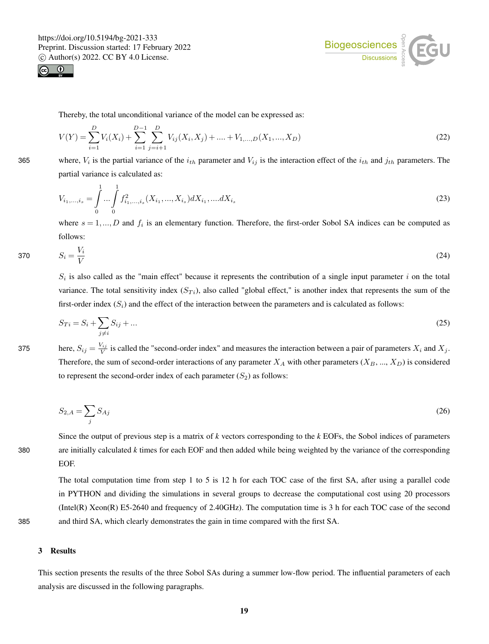



Thereby, the total unconditional variance of the model can be expressed as:

$$
V(Y) = \sum_{i=1}^{D} V_i(X_i) + \sum_{i=1}^{D-1} \sum_{j=i+1}^{D} V_{ij}(X_i, X_j) + \dots + V_{1,\dots,D}(X_1, \dots, X_D)
$$
\n(22)

365 where,  $V_i$  is the partial variance of the  $i_{th}$  parameter and  $V_{ij}$  is the interaction effect of the  $i_{th}$  and  $j_{th}$  parameters. The partial variance is calculated as:

$$
V_{i_1,\dots,i_s} = \int_0^1 \dots \int_0^1 f_{i_1,\dots,i_s}^2(X_{i_1},\dots,X_{i_s}) dX_{i_1},\dots,dX_{i_s}
$$
\n(23)

where  $s = 1, ..., D$  and  $f_i$  is an elementary function. Therefore, the first-order Sobol SA indices can be computed as follows:

$$
S_i = \frac{V_i}{V} \tag{24}
$$

 $S_i$  is also called as the "main effect" because it represents the contribution of a single input parameter i on the total variance. The total sensitivity index  $(S_T_i)$ , also called "global effect," is another index that represents the sum of the first-order index  $(S_i)$  and the effect of the interaction between the parameters and is calculated as follows:

$$
S_{Ti} = S_i + \sum_{j \neq i} S_{ij} + \dots \tag{25}
$$

375 here,  $S_{ij} = \frac{V_{ij}}{V}$  is called the "second-order index" and measures the interaction between a pair of parameters  $X_i$  and  $X_j$ . Therefore, the sum of second-order interactions of any parameter  $X_A$  with other parameters  $(X_B, ..., X_D)$  is considered to represent the second-order index of each parameter  $(S_2)$  as follows:

$$
S_{2,A} = \sum_{j} S_{Aj} \tag{26}
$$

Since the output of previous step is a matrix of *k* vectors corresponding to the *k* EOFs, the Sobol indices of parameters 380 are initially calculated *k* times for each EOF and then added while being weighted by the variance of the corresponding EOF.

The total computation time from step 1 to 5 is 12 h for each TOC case of the first SA, after using a parallel code in PYTHON and dividing the simulations in several groups to decrease the computational cost using 20 processors (Intel(R) Xeon(R) E5-2640 and frequency of 2.40GHz). The computation time is 3 h for each TOC case of the second 385 and third SA, which clearly demonstrates the gain in time compared with the first SA.

#### 3 Results

This section presents the results of the three Sobol SAs during a summer low-flow period. The influential parameters of each analysis are discussed in the following paragraphs.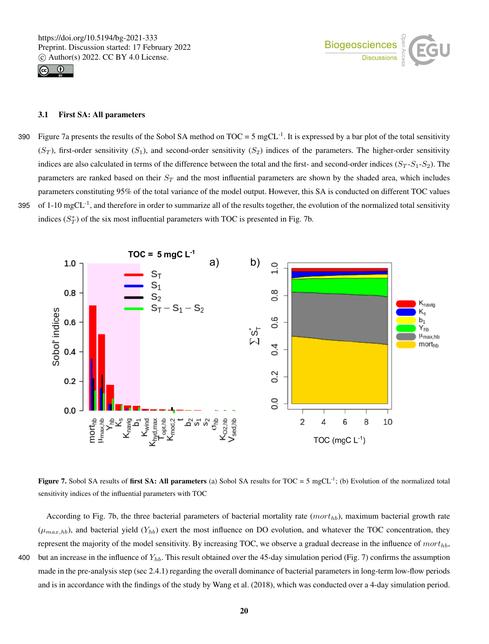



## 3.1 First SA: All parameters

Figure 7a presents the results of the Sobol SA method on  $TOC = 5 mgCL^{-1}$ . It is expressed by a bar plot of the total sensitivity  $(S_T)$ , first-order sensitivity  $(S_1)$ , and second-order sensitivity  $(S_2)$  indices of the parameters. The higher-order sensitivity indices are also calculated in terms of the difference between the total and the first- and second-order indices  $(S_T - S_1 - S_2)$ . The parameters are ranked based on their  $S_T$  and the most influential parameters are shown by the shaded area, which includes parameters constituting 95% of the total variance of the model output. However, this SA is conducted on different TOC values 395 of  $1-10$  mgCL $^{-1}$ , and therefore in order to summarize all of the results together, the evolution of the normalized total sensitivity indices  $(S_T^*)$  of the six most influential parameters with TOC is presented in Fig. 7b.



**Figure 7.** Sobol SA results of **first SA: All parameters** (a) Sobol SA results for  $TOC = 5$  mgCL<sup>-1</sup>; (b) Evolution of the normalized total sensitivity indices of the influential parameters with TOC

According to Fig. 7b, the three bacterial parameters of bacterial mortality rate  $(mort_{hb})$ , maximum bacterial growth rate  $(\mu_{max,hb})$ , and bacterial yield  $(Y_{hb})$  exert the most influence on DO evolution, and whatever the TOC concentration, they represent the majority of the model sensitivity. By increasing TOC, we observe a gradual decrease in the influence of  $mort_{hb}$ , 400 but an increase in the influence of  $Y_{hb}$ . This result obtained over the 45-day simulation period (Fig. 7) confirms the assumption made in the pre-analysis step (sec 2.4.1) regarding the overall dominance of bacterial parameters in long-term low-flow periods and is in accordance with the findings of the study by Wang et al. (2018), which was conducted over a 4-day simulation period.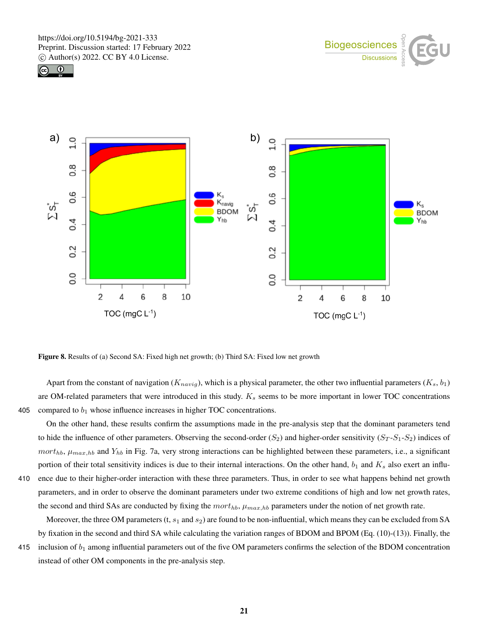





Figure 8. Results of (a) Second SA: Fixed high net growth; (b) Third SA: Fixed low net growth

Apart from the constant of navigation ( $K_{naviq}$ ), which is a physical parameter, the other two influential parameters ( $K_s$ ,  $b_1$ ) are OM-related parameters that were introduced in this study.  $K_s$  seems to be more important in lower TOC concentrations 405 compared to  $b_1$  whose influence increases in higher TOC concentrations.

On the other hand, these results confirm the assumptions made in the pre-analysis step that the dominant parameters tend to hide the influence of other parameters. Observing the second-order ( $S_2$ ) and higher-order sensitivity ( $S_T$ - $S_1$ - $S_2$ ) indices of  $mort_{hb}$ ,  $\mu_{max,hb}$  and  $Y_{hb}$  in Fig. 7a, very strong interactions can be highlighted between these parameters, i.e., a significant portion of their total sensitivity indices is due to their internal interactions. On the other hand,  $b_1$  and  $K_s$  also exert an influ-410 ence due to their higher-order interaction with these three parameters. Thus, in order to see what happens behind net growth parameters, and in order to observe the dominant parameters under two extreme conditions of high and low net growth rates, the second and third SAs are conducted by fixing the  $mort_{hb}$ ,  $\mu_{max,hb}$  parameters under the notion of net growth rate.

Moreover, the three OM parameters  $(t, s_1 \text{ and } s_2)$  are found to be non-influential, which means they can be excluded from SA by fixation in the second and third SA while calculating the variation ranges of BDOM and BPOM (Eq. (10)-(13)). Finally, the

415 inclusion of  $b_1$  among influential parameters out of the five OM parameters confirms the selection of the BDOM concentration instead of other OM components in the pre-analysis step.

21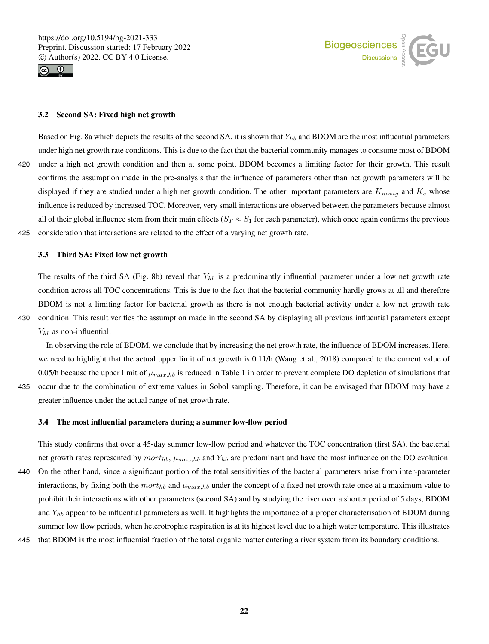



#### 3.2 Second SA: Fixed high net growth

Based on Fig. 8a which depicts the results of the second SA, it is shown that  $Y_{hb}$  and BDOM are the most influential parameters under high net growth rate conditions. This is due to the fact that the bacterial community manages to consume most of BDOM 420 under a high net growth condition and then at some point, BDOM becomes a limiting factor for their growth. This result confirms the assumption made in the pre-analysis that the influence of parameters other than net growth parameters will be displayed if they are studied under a high net growth condition. The other important parameters are  $K_{navig}$  and  $K_s$  whose influence is reduced by increased TOC. Moreover, very small interactions are observed between the parameters because almost all of their global influence stem from their main effects ( $S_T \approx S_1$  for each parameter), which once again confirms the previous 425 consideration that interactions are related to the effect of a varying net growth rate.

#### 3.3 Third SA: Fixed low net growth

The results of the third SA (Fig. 8b) reveal that  $Y_{hb}$  is a predominantly influential parameter under a low net growth rate condition across all TOC concentrations. This is due to the fact that the bacterial community hardly grows at all and therefore BDOM is not a limiting factor for bacterial growth as there is not enough bacterial activity under a low net growth rate 430 condition. This result verifies the assumption made in the second SA by displaying all previous influential parameters except  $Y_{hb}$  as non-influential.

In observing the role of BDOM, we conclude that by increasing the net growth rate, the influence of BDOM increases. Here, we need to highlight that the actual upper limit of net growth is 0.11/h (Wang et al., 2018) compared to the current value of 0.05/h because the upper limit of  $\mu_{max,hb}$  is reduced in Table 1 in order to prevent complete DO depletion of simulations that 435 occur due to the combination of extreme values in Sobol sampling. Therefore, it can be envisaged that BDOM may have a

greater influence under the actual range of net growth rate.

# 3.4 The most influential parameters during a summer low-flow period

This study confirms that over a 45-day summer low-flow period and whatever the TOC concentration (first SA), the bacterial net growth rates represented by  $mort_{hb}$ ,  $\mu_{max,hb}$  and  $Y_{hb}$  are predominant and have the most influence on the DO evolution. 440 On the other hand, since a significant portion of the total sensitivities of the bacterial parameters arise from inter-parameter interactions, by fixing both the  $mort_{hb}$  and  $\mu_{max,hb}$  under the concept of a fixed net growth rate once at a maximum value to prohibit their interactions with other parameters (second SA) and by studying the river over a shorter period of 5 days, BDOM and  $Y_{hb}$  appear to be influential parameters as well. It highlights the importance of a proper characterisation of BDOM during summer low flow periods, when heterotrophic respiration is at its highest level due to a high water temperature. This illustrates

445 that BDOM is the most influential fraction of the total organic matter entering a river system from its boundary conditions.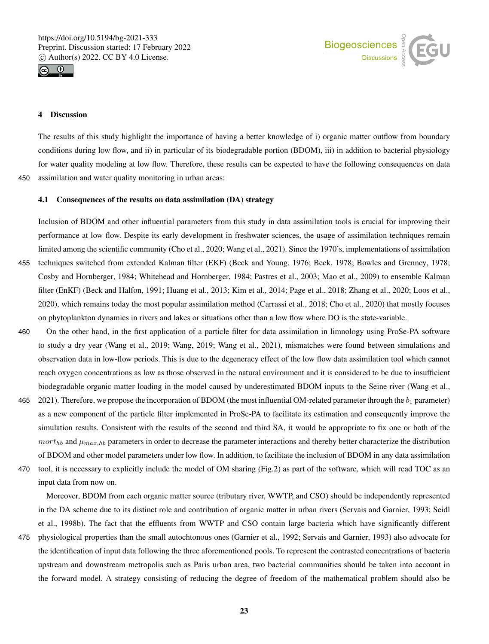



# 4 Discussion

The results of this study highlight the importance of having a better knowledge of i) organic matter outflow from boundary conditions during low flow, and ii) in particular of its biodegradable portion (BDOM), iii) in addition to bacterial physiology for water quality modeling at low flow. Therefore, these results can be expected to have the following consequences on data 450 assimilation and water quality monitoring in urban areas:

# 4.1 Consequences of the results on data assimilation (DA) strategy

Inclusion of BDOM and other influential parameters from this study in data assimilation tools is crucial for improving their performance at low flow. Despite its early development in freshwater sciences, the usage of assimilation techniques remain limited among the scientific community (Cho et al., 2020; Wang et al., 2021). Since the 1970's, implementations of assimilation 455 techniques switched from extended Kalman filter (EKF) (Beck and Young, 1976; Beck, 1978; Bowles and Grenney, 1978; Cosby and Hornberger, 1984; Whitehead and Hornberger, 1984; Pastres et al., 2003; Mao et al., 2009) to ensemble Kalman filter (EnKF) (Beck and Halfon, 1991; Huang et al., 2013; Kim et al., 2014; Page et al., 2018; Zhang et al., 2020; Loos et al., 2020), which remains today the most popular assimilation method (Carrassi et al., 2018; Cho et al., 2020) that mostly focuses on phytoplankton dynamics in rivers and lakes or situations other than a low flow where DO is the state-variable.

- 460 On the other hand, in the first application of a particle filter for data assimilation in limnology using ProSe-PA software to study a dry year (Wang et al., 2019; Wang, 2019; Wang et al., 2021), mismatches were found between simulations and observation data in low-flow periods. This is due to the degeneracy effect of the low flow data assimilation tool which cannot reach oxygen concentrations as low as those observed in the natural environment and it is considered to be due to insufficient biodegradable organic matter loading in the model caused by underestimated BDOM inputs to the Seine river (Wang et al.,
- 465 2021). Therefore, we propose the incorporation of BDOM (the most influential OM-related parameter through the  $b_1$  parameter) as a new component of the particle filter implemented in ProSe-PA to facilitate its estimation and consequently improve the simulation results. Consistent with the results of the second and third SA, it would be appropriate to fix one or both of the  $mort_{hb}$  and  $\mu_{max,hb}$  parameters in order to decrease the parameter interactions and thereby better characterize the distribution of BDOM and other model parameters under low flow. In addition, to facilitate the inclusion of BDOM in any data assimilation
- 470 tool, it is necessary to explicitly include the model of OM sharing (Fig.2) as part of the software, which will read TOC as an input data from now on.

Moreover, BDOM from each organic matter source (tributary river, WWTP, and CSO) should be independently represented in the DA scheme due to its distinct role and contribution of organic matter in urban rivers (Servais and Garnier, 1993; Seidl et al., 1998b). The fact that the effluents from WWTP and CSO contain large bacteria which have significantly different

475 physiological properties than the small autochtonous ones (Garnier et al., 1992; Servais and Garnier, 1993) also advocate for the identification of input data following the three aforementioned pools. To represent the contrasted concentrations of bacteria upstream and downstream metropolis such as Paris urban area, two bacterial communities should be taken into account in the forward model. A strategy consisting of reducing the degree of freedom of the mathematical problem should also be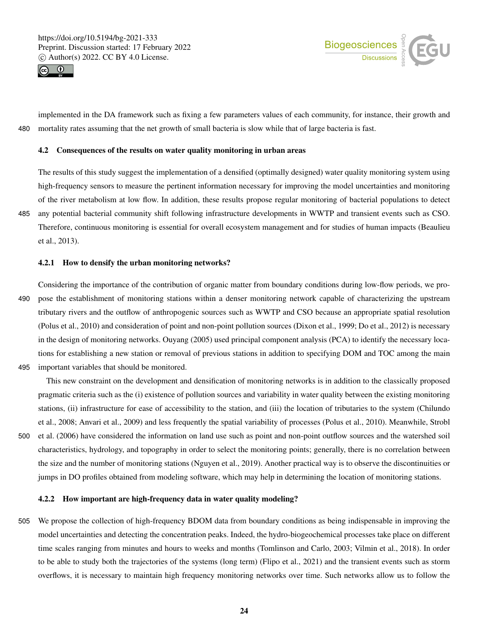



implemented in the DA framework such as fixing a few parameters values of each community, for instance, their growth and 480 mortality rates assuming that the net growth of small bacteria is slow while that of large bacteria is fast.

## 4.2 Consequences of the results on water quality monitoring in urban areas

The results of this study suggest the implementation of a densified (optimally designed) water quality monitoring system using high-frequency sensors to measure the pertinent information necessary for improving the model uncertainties and monitoring of the river metabolism at low flow. In addition, these results propose regular monitoring of bacterial populations to detect 485 any potential bacterial community shift following infrastructure developments in WWTP and transient events such as CSO. Therefore, continuous monitoring is essential for overall ecosystem management and for studies of human impacts (Beaulieu et al., 2013).

#### 4.2.1 How to densify the urban monitoring networks?

Considering the importance of the contribution of organic matter from boundary conditions during low-flow periods, we pro-490 pose the establishment of monitoring stations within a denser monitoring network capable of characterizing the upstream tributary rivers and the outflow of anthropogenic sources such as WWTP and CSO because an appropriate spatial resolution (Polus et al., 2010) and consideration of point and non-point pollution sources (Dixon et al., 1999; Do et al., 2012) is necessary in the design of monitoring networks. Ouyang (2005) used principal component analysis (PCA) to identify the necessary locations for establishing a new station or removal of previous stations in addition to specifying DOM and TOC among the main 495 important variables that should be monitored.

This new constraint on the development and densification of monitoring networks is in addition to the classically proposed pragmatic criteria such as the (i) existence of pollution sources and variability in water quality between the existing monitoring stations, (ii) infrastructure for ease of accessibility to the station, and (iii) the location of tributaries to the system (Chilundo et al., 2008; Anvari et al., 2009) and less frequently the spatial variability of processes (Polus et al., 2010). Meanwhile, Strobl 500 et al. (2006) have considered the information on land use such as point and non-point outflow sources and the watershed soil characteristics, hydrology, and topography in order to select the monitoring points; generally, there is no correlation between the size and the number of monitoring stations (Nguyen et al., 2019). Another practical way is to observe the discontinuities or jumps in DO profiles obtained from modeling software, which may help in determining the location of monitoring stations.

#### 4.2.2 How important are high-frequency data in water quality modeling?

505 We propose the collection of high-frequency BDOM data from boundary conditions as being indispensable in improving the model uncertainties and detecting the concentration peaks. Indeed, the hydro-biogeochemical processes take place on different time scales ranging from minutes and hours to weeks and months (Tomlinson and Carlo, 2003; Vilmin et al., 2018). In order to be able to study both the trajectories of the systems (long term) (Flipo et al., 2021) and the transient events such as storm overflows, it is necessary to maintain high frequency monitoring networks over time. Such networks allow us to follow the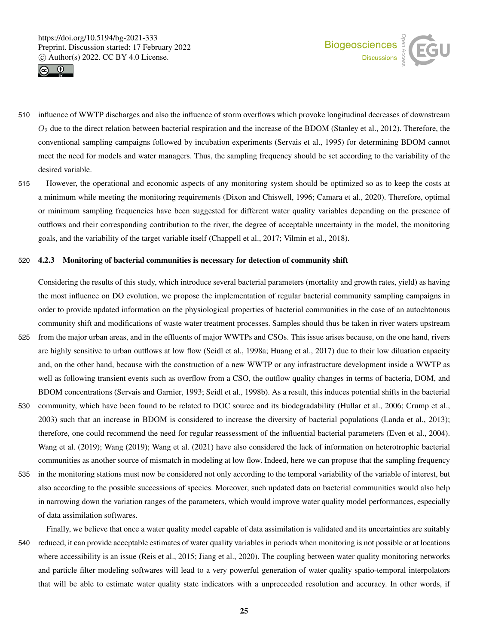



- 510 influence of WWTP discharges and also the influence of storm overflows which provoke longitudinal decreases of downstream  $O_2$  due to the direct relation between bacterial respiration and the increase of the BDOM (Stanley et al., 2012). Therefore, the conventional sampling campaigns followed by incubation experiments (Servais et al., 1995) for determining BDOM cannot meet the need for models and water managers. Thus, the sampling frequency should be set according to the variability of the desired variable.
- 515 However, the operational and economic aspects of any monitoring system should be optimized so as to keep the costs at a minimum while meeting the monitoring requirements (Dixon and Chiswell, 1996; Camara et al., 2020). Therefore, optimal or minimum sampling frequencies have been suggested for different water quality variables depending on the presence of outflows and their corresponding contribution to the river, the degree of acceptable uncertainty in the model, the monitoring goals, and the variability of the target variable itself (Chappell et al., 2017; Vilmin et al., 2018).

#### 520 4.2.3 Monitoring of bacterial communities is necessary for detection of community shift

Considering the results of this study, which introduce several bacterial parameters (mortality and growth rates, yield) as having the most influence on DO evolution, we propose the implementation of regular bacterial community sampling campaigns in order to provide updated information on the physiological properties of bacterial communities in the case of an autochtonous community shift and modifications of waste water treatment processes. Samples should thus be taken in river waters upstream 525 from the major urban areas, and in the effluents of major WWTPs and CSOs. This issue arises because, on the one hand, rivers are highly sensitive to urban outflows at low flow (Seidl et al., 1998a; Huang et al., 2017) due to their low diluation capacity and, on the other hand, because with the construction of a new WWTP or any infrastructure development inside a WWTP as well as following transient events such as overflow from a CSO, the outflow quality changes in terms of bacteria, DOM, and BDOM concentrations (Servais and Garnier, 1993; Seidl et al., 1998b). As a result, this induces potential shifts in the bacterial

- 530 community, which have been found to be related to DOC source and its biodegradability (Hullar et al., 2006; Crump et al., 2003) such that an increase in BDOM is considered to increase the diversity of bacterial populations (Landa et al., 2013); therefore, one could recommend the need for regular reassessment of the influential bacterial parameters (Even et al., 2004). Wang et al. (2019); Wang (2019); Wang et al. (2021) have also considered the lack of information on heterotrophic bacterial communities as another source of mismatch in modeling at low flow. Indeed, here we can propose that the sampling frequency
- 535 in the monitoring stations must now be considered not only according to the temporal variability of the variable of interest, but also according to the possible successions of species. Moreover, such updated data on bacterial communities would also help in narrowing down the variation ranges of the parameters, which would improve water quality model performances, especially of data assimilation softwares.

Finally, we believe that once a water quality model capable of data assimilation is validated and its uncertainties are suitably 540 reduced, it can provide acceptable estimates of water quality variables in periods when monitoring is not possible or at locations where accessibility is an issue (Reis et al., 2015; Jiang et al., 2020). The coupling between water quality monitoring networks and particle filter modeling softwares will lead to a very powerful generation of water quality spatio-temporal interpolators that will be able to estimate water quality state indicators with a unpreceeded resolution and accuracy. In other words, if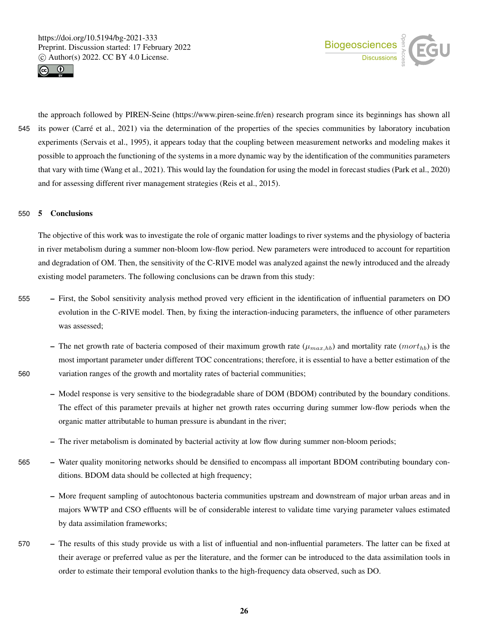



the approach followed by PIREN-Seine (https://www.piren-seine.fr/en) research program since its beginnings has shown all 545 its power (Carré et al., 2021) via the determination of the properties of the species communities by laboratory incubation experiments (Servais et al., 1995), it appears today that the coupling between measurement networks and modeling makes it possible to approach the functioning of the systems in a more dynamic way by the identification of the communities parameters that vary with time (Wang et al., 2021). This would lay the foundation for using the model in forecast studies (Park et al., 2020) and for assessing different river management strategies (Reis et al., 2015).

#### 550 5 Conclusions

The objective of this work was to investigate the role of organic matter loadings to river systems and the physiology of bacteria in river metabolism during a summer non-bloom low-flow period. New parameters were introduced to account for repartition and degradation of OM. Then, the sensitivity of the C-RIVE model was analyzed against the newly introduced and the already existing model parameters. The following conclusions can be drawn from this study:

- 555 First, the Sobol sensitivity analysis method proved very efficient in the identification of influential parameters on DO evolution in the C-RIVE model. Then, by fixing the interaction-inducing parameters, the influence of other parameters was assessed;
- The net growth rate of bacteria composed of their maximum growth rate  $(\mu_{max,hb})$  and mortality rate  $(mort_{hb})$  is the most important parameter under different TOC concentrations; therefore, it is essential to have a better estimation of the 560 variation ranges of the growth and mortality rates of bacterial communities;
	- Model response is very sensitive to the biodegradable share of DOM (BDOM) contributed by the boundary conditions. The effect of this parameter prevails at higher net growth rates occurring during summer low-flow periods when the organic matter attributable to human pressure is abundant in the river;
	- The river metabolism is dominated by bacterial activity at low flow during summer non-bloom periods;
- 565 Water quality monitoring networks should be densified to encompass all important BDOM contributing boundary conditions. BDOM data should be collected at high frequency;
	- More frequent sampling of autochtonous bacteria communities upstream and downstream of major urban areas and in majors WWTP and CSO effluents will be of considerable interest to validate time varying parameter values estimated by data assimilation frameworks;
- 570 The results of this study provide us with a list of influential and non-influential parameters. The latter can be fixed at their average or preferred value as per the literature, and the former can be introduced to the data assimilation tools in order to estimate their temporal evolution thanks to the high-frequency data observed, such as DO.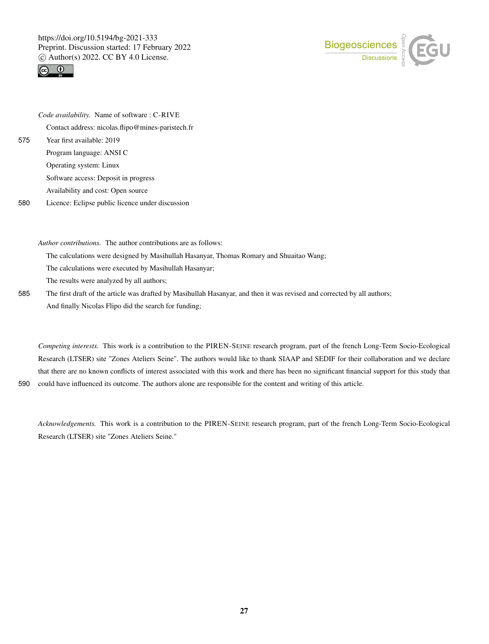



*Code availability.* Name of software : C-RIVE Contact address: nicolas.flipo@mines-paristech.fr 575 Year first available: 2019 Program language: ANSI C Operating system: Linux Software access: Deposit in progress

Availability and cost: Open source

580 Licence: Eclipse public licence under discussion

*Author contributions.* The author contributions are as follows:

The calculations were designed by Masihullah Hasanyar, Thomas Romary and Shuaitao Wang;

The calculations were executed by Masihullah Hasanyar;

The results were analyzed by all authors;

585 The first draft of the article was drafted by Masihullah Hasanyar, and then it was revised and corrected by all authors; And finally Nicolas Flipo did the search for funding;

*Competing interests.* This work is a contribution to the PIREN-SEINE research program, part of the french Long-Term Socio-Ecological Research (LTSER) site "Zones Ateliers Seine". The authors would like to thank SIAAP and SEDIF for their collaboration and we declare that there are no known conflicts of interest associated with this work and there has been no significant financial support for this study that 590 could have influenced its outcome. The authors alone are responsible for the content and writing of this article.

*Acknowledgements.* This work is a contribution to the PIREN-SEINE research program, part of the french Long-Term Socio-Ecological Research (LTSER) site "Zones Ateliers Seine."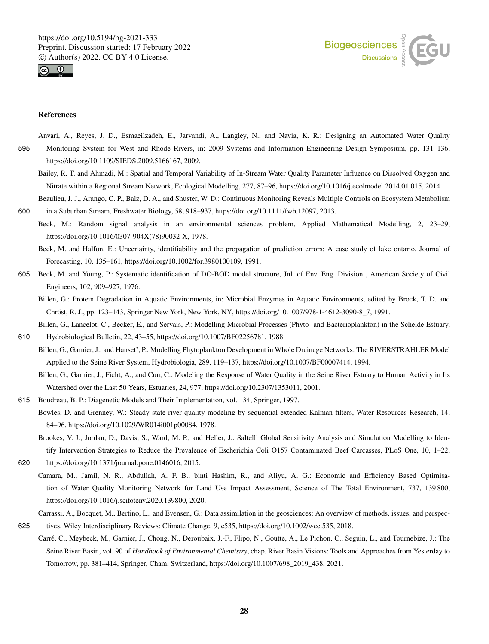



#### References

- Anvari, A., Reyes, J. D., Esmaeilzadeh, E., Jarvandi, A., Langley, N., and Navia, K. R.: Designing an Automated Water Quality 595 Monitoring System for West and Rhode Rivers, in: 2009 Systems and Information Engineering Design Symposium, pp. 131–136, https://doi.org/10.1109/SIEDS.2009.5166167, 2009.
	- Bailey, R. T. and Ahmadi, M.: Spatial and Temporal Variability of In-Stream Water Quality Parameter Influence on Dissolved Oxygen and Nitrate within a Regional Stream Network, Ecological Modelling, 277, 87–96, https://doi.org/10.1016/j.ecolmodel.2014.01.015, 2014.

Beaulieu, J. J., Arango, C. P., Balz, D. A., and Shuster, W. D.: Continuous Monitoring Reveals Multiple Controls on Ecosystem Metabolism 600 in a Suburban Stream, Freshwater Biology, 58, 918–937, https://doi.org/10.1111/fwb.12097, 2013.

Beck, M.: Random signal analysis in an environmental sciences problem, Applied Mathematical Modelling, 2, 23–29, https://doi.org/10.1016/0307-904X(78)90032-X, 1978.

Beck, M. and Halfon, E.: Uncertainty, identifiability and the propagation of prediction errors: A case study of lake ontario, Journal of Forecasting, 10, 135–161, https://doi.org/10.1002/for.3980100109, 1991.

- 605 Beck, M. and Young, P.: Systematic identification of DO-BOD model structure, Jnl. of Env. Eng. Division , American Society of Civil Engineers, 102, 909–927, 1976.
	- Billen, G.: Protein Degradation in Aquatic Environments, in: Microbial Enzymes in Aquatic Environments, edited by Brock, T. D. and Chróst, R. J., pp. 123–143, Springer New York, New York, NY, https://doi.org/10.1007/978-1-4612-3090-8\_7, 1991.

Billen, G., Lancelot, C., Becker, E., and Servais, P.: Modelling Microbial Processes (Phyto- and Bacterioplankton) in the Schelde Estuary,

610 Hydrobiological Bulletin, 22, 43–55, https://doi.org/10.1007/BF02256781, 1988.

Billen, G., Garnier, J., and Hanset', P.: Modelling Phytoplankton Development in Whole Drainage Networks: The RIVERSTRAHLER Model Applied to the Seine River System, Hydrobiologia, 289, 119–137, https://doi.org/10.1007/BF00007414, 1994.

Billen, G., Garnier, J., Ficht, A., and Cun, C.: Modeling the Response of Water Quality in the Seine River Estuary to Human Activity in Its Watershed over the Last 50 Years, Estuaries, 24, 977, https://doi.org/10.2307/1353011, 2001.

- 615 Boudreau, B. P.: Diagenetic Models and Their Implementation, vol. 134, Springer, 1997.
	- Bowles, D. and Grenney, W.: Steady state river quality modeling by sequential extended Kalman filters, Water Resources Research, 14, 84–96, https://doi.org/10.1029/WR014i001p00084, 1978.
		- Brookes, V. J., Jordan, D., Davis, S., Ward, M. P., and Heller, J.: Saltelli Global Sensitivity Analysis and Simulation Modelling to Identify Intervention Strategies to Reduce the Prevalence of Escherichia Coli O157 Contaminated Beef Carcasses, PLoS One, 10, 1–22,
- 620 https://doi.org/10.1371/journal.pone.0146016, 2015.
	- Camara, M., Jamil, N. R., Abdullah, A. F. B., binti Hashim, R., and Aliyu, A. G.: Economic and Efficiency Based Optimisation of Water Quality Monitoring Network for Land Use Impact Assessment, Science of The Total Environment, 737, 139 800, https://doi.org/10.1016/j.scitotenv.2020.139800, 2020.

Carrassi, A., Bocquet, M., Bertino, L., and Evensen, G.: Data assimilation in the geosciences: An overview of methods, issues, and perspec-625 tives, Wiley Interdisciplinary Reviews: Climate Change, 9, e535, https://doi.org/10.1002/wcc.535, 2018.

Carré, C., Meybeck, M., Garnier, J., Chong, N., Deroubaix, J.-F., Flipo, N., Goutte, A., Le Pichon, C., Seguin, L., and Tournebize, J.: The Seine River Basin, vol. 90 of *Handbook of Environmental Chemistry*, chap. River Basin Visions: Tools and Approaches from Yesterday to Tomorrow, pp. 381–414, Springer, Cham, Switzerland, https://doi.org/10.1007/698\_2019\_438, 2021.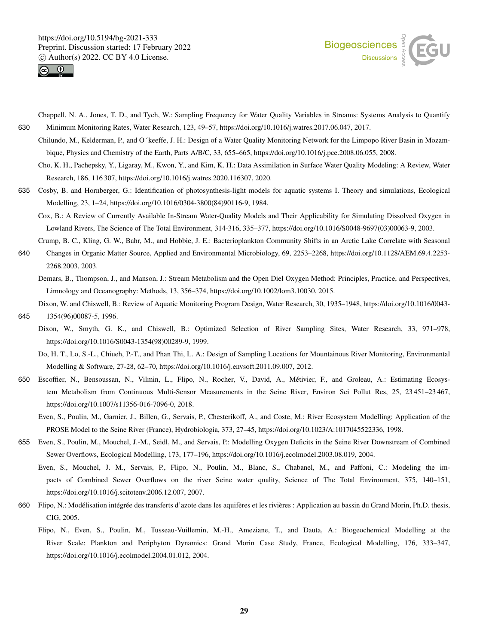



- Chappell, N. A., Jones, T. D., and Tych, W.: Sampling Frequency for Water Quality Variables in Streams: Systems Analysis to Quantify 630 Minimum Monitoring Rates, Water Research, 123, 49–57, https://doi.org/10.1016/j.watres.2017.06.047, 2017.
	- Chilundo, M., Kelderman, P., and O´keeffe, J. H.: Design of a Water Quality Monitoring Network for the Limpopo River Basin in Mozambique, Physics and Chemistry of the Earth, Parts A/B/C, 33, 655–665, https://doi.org/10.1016/j.pce.2008.06.055, 2008.
		- Cho, K. H., Pachepsky, Y., Ligaray, M., Kwon, Y., and Kim, K. H.: Data Assimilation in Surface Water Quality Modeling: A Review, Water Research, 186, 116 307, https://doi.org/10.1016/j.watres.2020.116307, 2020.
- 635 Cosby, B. and Hornberger, G.: Identification of photosynthesis-light models for aquatic systems I. Theory and simulations, Ecological Modelling, 23, 1–24, https://doi.org/10.1016/0304-3800(84)90116-9, 1984.
	- Cox, B.: A Review of Currently Available In-Stream Water-Quality Models and Their Applicability for Simulating Dissolved Oxygen in Lowland Rivers, The Science of The Total Environment, 314-316, 335–377, https://doi.org/10.1016/S0048-9697(03)00063-9, 2003.
- Crump, B. C., Kling, G. W., Bahr, M., and Hobbie, J. E.: Bacterioplankton Community Shifts in an Arctic Lake Correlate with Seasonal 640 Changes in Organic Matter Source, Applied and Environmental Microbiology, 69, 2253–2268, https://doi.org/10.1128/AEM.69.4.2253- 2268.2003, 2003.
	- Demars, B., Thompson, J., and Manson, J.: Stream Metabolism and the Open Diel Oxygen Method: Principles, Practice, and Perspectives, Limnology and Oceanography: Methods, 13, 356–374, https://doi.org/10.1002/lom3.10030, 2015.

Dixon, W. and Chiswell, B.: Review of Aquatic Monitoring Program Design, Water Research, 30, 1935–1948, https://doi.org/10.1016/0043- 645 1354(96)00087-5, 1996.

- Dixon, W., Smyth, G. K., and Chiswell, B.: Optimized Selection of River Sampling Sites, Water Research, 33, 971–978, https://doi.org/10.1016/S0043-1354(98)00289-9, 1999.
	- Do, H. T., Lo, S.-L., Chiueh, P.-T., and Phan Thi, L. A.: Design of Sampling Locations for Mountainous River Monitoring, Environmental Modelling & Software, 27-28, 62–70, https://doi.org/10.1016/j.envsoft.2011.09.007, 2012.
- 650 Escoffier, N., Bensoussan, N., Vilmin, L., Flipo, N., Rocher, V., David, A., Métivier, F., and Groleau, A.: Estimating Ecosystem Metabolism from Continuous Multi-Sensor Measurements in the Seine River, Environ Sci Pollut Res, 25, 23 451–23 467, https://doi.org/10.1007/s11356-016-7096-0, 2018.
	- Even, S., Poulin, M., Garnier, J., Billen, G., Servais, P., Chesterikoff, A., and Coste, M.: River Ecosystem Modelling: Application of the PROSE Model to the Seine River (France), Hydrobiologia, 373, 27–45, https://doi.org/10.1023/A:1017045522336, 1998.
- 655 Even, S., Poulin, M., Mouchel, J.-M., Seidl, M., and Servais, P.: Modelling Oxygen Deficits in the Seine River Downstream of Combined Sewer Overflows, Ecological Modelling, 173, 177–196, https://doi.org/10.1016/j.ecolmodel.2003.08.019, 2004.
	- Even, S., Mouchel, J. M., Servais, P., Flipo, N., Poulin, M., Blanc, S., Chabanel, M., and Paffoni, C.: Modeling the impacts of Combined Sewer Overflows on the river Seine water quality, Science of The Total Environment, 375, 140–151, https://doi.org/10.1016/j.scitotenv.2006.12.007, 2007.
- 660 Flipo, N.: Modélisation intégrée des transferts d'azote dans les aquifères et les rivières : Application au bassin du Grand Morin, Ph.D. thesis, CIG, 2005.
	- Flipo, N., Even, S., Poulin, M., Tusseau-Vuillemin, M.-H., Ameziane, T., and Dauta, A.: Biogeochemical Modelling at the River Scale: Plankton and Periphyton Dynamics: Grand Morin Case Study, France, Ecological Modelling, 176, 333–347, https://doi.org/10.1016/j.ecolmodel.2004.01.012, 2004.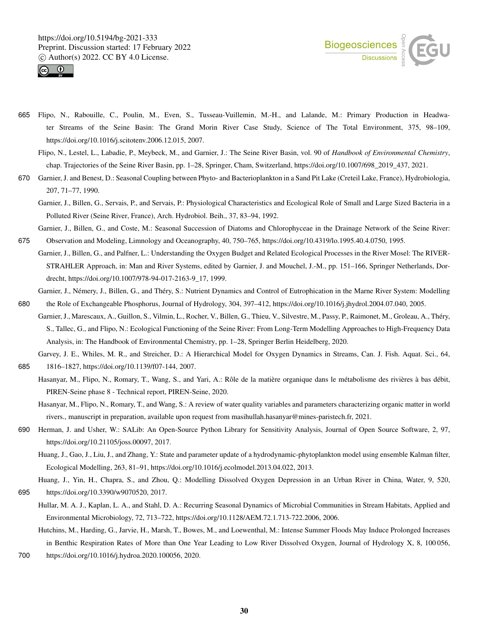



- 665 Flipo, N., Rabouille, C., Poulin, M., Even, S., Tusseau-Vuillemin, M.-H., and Lalande, M.: Primary Production in Headwater Streams of the Seine Basin: The Grand Morin River Case Study, Science of The Total Environment, 375, 98–109, https://doi.org/10.1016/j.scitotenv.2006.12.015, 2007.
	- Flipo, N., Lestel, L., Labadie, P., Meybeck, M., and Garnier, J.: The Seine River Basin, vol. 90 of *Handbook of Environmental Chemistry*, chap. Trajectories of the Seine River Basin, pp. 1–28, Springer, Cham, Switzerland, https://doi.org/10.1007/698\_2019\_437, 2021.
- 670 Garnier, J. and Benest, D.: Seasonal Coupling between Phyto- and Bacterioplankton in a Sand Pit Lake (Creteil Lake, France), Hydrobiologia, 207, 71–77, 1990.
	- Garnier, J., Billen, G., Servais, P., and Servais, P.: Physiological Characteristics and Ecological Role of Small and Large Sized Bacteria in a Polluted River (Seine River, France), Arch. Hydrobiol. Beih., 37, 83–94, 1992.
	- Garnier, J., Billen, G., and Coste, M.: Seasonal Succession of Diatoms and Chlorophyceae in the Drainage Network of the Seine River:
- 675 Observation and Modeling, Limnology and Oceanography, 40, 750–765, https://doi.org/10.4319/lo.1995.40.4.0750, 1995. Garnier, J., Billen, G., and Palfner, L.: Understanding the Oxygen Budget and Related Ecological Processes in the River Mosel: The RIVER-STRAHLER Approach, in: Man and River Systems, edited by Garnier, J. and Mouchel, J.-M., pp. 151–166, Springer Netherlands, Dordrecht, https://doi.org/10.1007/978-94-017-2163-9\_17, 1999.
- Garnier, J., Némery, J., Billen, G., and Théry, S.: Nutrient Dynamics and Control of Eutrophication in the Marne River System: Modelling 680 the Role of Exchangeable Phosphorus, Journal of Hydrology, 304, 397–412, https://doi.org/10.1016/j.jhydrol.2004.07.040, 2005.
- Garnier, J., Marescaux, A., Guillon, S., Vilmin, L., Rocher, V., Billen, G., Thieu, V., Silvestre, M., Passy, P., Raimonet, M., Groleau, A., Théry, S., Tallec, G., and Flipo, N.: Ecological Functioning of the Seine River: From Long-Term Modelling Approaches to High-Frequency Data Analysis, in: The Handbook of Environmental Chemistry, pp. 1–28, Springer Berlin Heidelberg, 2020.
- Garvey, J. E., Whiles, M. R., and Streicher, D.: A Hierarchical Model for Oxygen Dynamics in Streams, Can. J. Fish. Aquat. Sci., 64, 685 1816–1827, https://doi.org/10.1139/f07-144, 2007.
	- Hasanyar, M., Flipo, N., Romary, T., Wang, S., and Yari, A.: Rôle de la matière organique dans le métabolisme des rivières à bas débit, PIREN-Seine phase 8 - Technical report, PIREN-Seine, 2020.
	- Hasanyar, M., Flipo, N., Romary, T., and Wang, S.: A review of water quality variables and parameters characterizing organic matter in world rivers., manuscript in preparation, available upon request from masihullah.hasanyar@mines-paristech.fr, 2021.
- 690 Herman, J. and Usher, W.: SALib: An Open-Source Python Library for Sensitivity Analysis, Journal of Open Source Software, 2, 97, https://doi.org/10.21105/joss.00097, 2017.
	- Huang, J., Gao, J., Liu, J., and Zhang, Y.: State and parameter update of a hydrodynamic-phytoplankton model using ensemble Kalman filter, Ecological Modelling, 263, 81–91, https://doi.org/10.1016/j.ecolmodel.2013.04.022, 2013.
- Huang, J., Yin, H., Chapra, S., and Zhou, Q.: Modelling Dissolved Oxygen Depression in an Urban River in China, Water, 9, 520, 695 https://doi.org/10.3390/w9070520, 2017.
	- Hullar, M. A. J., Kaplan, L. A., and Stahl, D. A.: Recurring Seasonal Dynamics of Microbial Communities in Stream Habitats, Applied and Environmental Microbiology, 72, 713–722, https://doi.org/10.1128/AEM.72.1.713-722.2006, 2006.
	- Hutchins, M., Harding, G., Jarvie, H., Marsh, T., Bowes, M., and Loewenthal, M.: Intense Summer Floods May Induce Prolonged Increases in Benthic Respiration Rates of More than One Year Leading to Low River Dissolved Oxygen, Journal of Hydrology X, 8, 100 056,
- 700 https://doi.org/10.1016/j.hydroa.2020.100056, 2020.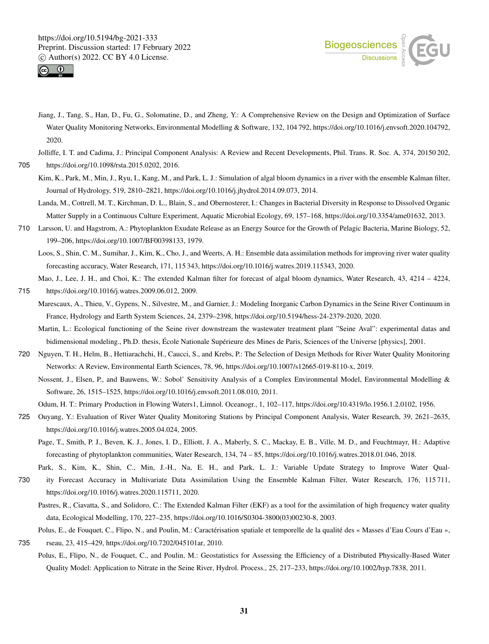



Jiang, J., Tang, S., Han, D., Fu, G., Solomatine, D., and Zheng, Y.: A Comprehensive Review on the Design and Optimization of Surface Water Quality Monitoring Networks, Environmental Modelling & Software, 132, 104 792, https://doi.org/10.1016/j.envsoft.2020.104792, 2020.

Jolliffe, I. T. and Cadima, J.: Principal Component Analysis: A Review and Recent Developments, Phil. Trans. R. Soc. A, 374, 20150 202,

705 https://doi.org/10.1098/rsta.2015.0202, 2016.

- Kim, K., Park, M., Min, J., Ryu, I., Kang, M., and Park, L. J.: Simulation of algal bloom dynamics in a river with the ensemble Kalman filter, Journal of Hydrology, 519, 2810–2821, https://doi.org/10.1016/j.jhydrol.2014.09.073, 2014.
- Landa, M., Cottrell, M. T., Kirchman, D. L., Blain, S., and Obernosterer, I.: Changes in Bacterial Diversity in Response to Dissolved Organic Matter Supply in a Continuous Culture Experiment, Aquatic Microbial Ecology, 69, 157–168, https://doi.org/10.3354/ame01632, 2013.
- 710 Larsson, U. and Hagstrom, A.: Phytoplankton Exudate Release as an Energy Source for the Growth of Pelagic Bacteria, Marine Biology, 52, 199–206, https://doi.org/10.1007/BF00398133, 1979.
	- Loos, S., Shin, C. M., Sumihar, J., Kim, K., Cho, J., and Weerts, A. H.: Ensemble data assimilation methods for improving river water quality forecasting accuracy, Water Research, 171, 115 343, https://doi.org/10.1016/j.watres.2019.115343, 2020.

Mao, J., Lee, J. H., and Choi, K.: The extended Kalman filter for forecast of algal bloom dynamics, Water Research, 43, 4214 – 4224, 715 https://doi.org/10.1016/j.watres.2009.06.012, 2009.

- Marescaux, A., Thieu, V., Gypens, N., Silvestre, M., and Garnier, J.: Modeling Inorganic Carbon Dynamics in the Seine River Continuum in France, Hydrology and Earth System Sciences, 24, 2379–2398, https://doi.org/10.5194/hess-24-2379-2020, 2020.
	- Martin, L.: Ecological functioning of the Seine river downstream the wastewater treatment plant "Seine Aval": experimental datas and bidimensional modeling., Ph.D. thesis, École Nationale Supérieure des Mines de Paris, Sciences of the Universe [physics], 2001.
- 720 Nguyen, T. H., Helm, B., Hettiarachchi, H., Caucci, S., and Krebs, P.: The Selection of Design Methods for River Water Quality Monitoring Networks: A Review, Environmental Earth Sciences, 78, 96, https://doi.org/10.1007/s12665-019-8110-x, 2019.

Nossent, J., Elsen, P., and Bauwens, W.: Sobol' Sensitivity Analysis of a Complex Environmental Model, Environmental Modelling & Software, 26, 1515–1525, https://doi.org/10.1016/j.envsoft.2011.08.010, 2011.

Odum, H. T.: Primary Production in Flowing Waters1, Limnol. Oceanogr., 1, 102–117, https://doi.org/10.4319/lo.1956.1.2.0102, 1956.

- 725 Ouyang, Y.: Evaluation of River Water Quality Monitoring Stations by Principal Component Analysis, Water Research, 39, 2621–2635, https://doi.org/10.1016/j.watres.2005.04.024, 2005.
	- Page, T., Smith, P. J., Beven, K. J., Jones, I. D., Elliott, J. A., Maberly, S. C., Mackay, E. B., Ville, M. D., and Feuchtmayr, H.: Adaptive forecasting of phytoplankton communities, Water Research, 134, 74 – 85, https://doi.org/10.1016/j.watres.2018.01.046, 2018.

Park, S., Kim, K., Shin, C., Min, J.-H., Na, E. H., and Park, L. J.: Variable Update Strategy to Improve Water Qual-

- 730 ity Forecast Accuracy in Multivariate Data Assimilation Using the Ensemble Kalman Filter, Water Research, 176, 115 711, https://doi.org/10.1016/j.watres.2020.115711, 2020.
	- Pastres, R., Ciavatta, S., and Solidoro, C.: The Extended Kalman Filter (EKF) as a tool for the assimilation of high frequency water quality data, Ecological Modelling, 170, 227–235, https://doi.org/10.1016/S0304-3800(03)00230-8, 2003.

Polus, E., de Fouquet, C., Flipo, N., and Poulin, M.: Caractérisation spatiale et temporelle de la qualité des « Masses d'Eau Cours d'Eau »,

- 735 rseau, 23, 415–429, https://doi.org/10.7202/045101ar, 2010.
	- Polus, E., Flipo, N., de Fouquet, C., and Poulin, M.: Geostatistics for Assessing the Efficiency of a Distributed Physically-Based Water Quality Model: Application to Nitrate in the Seine River, Hydrol. Process., 25, 217–233, https://doi.org/10.1002/hyp.7838, 2011.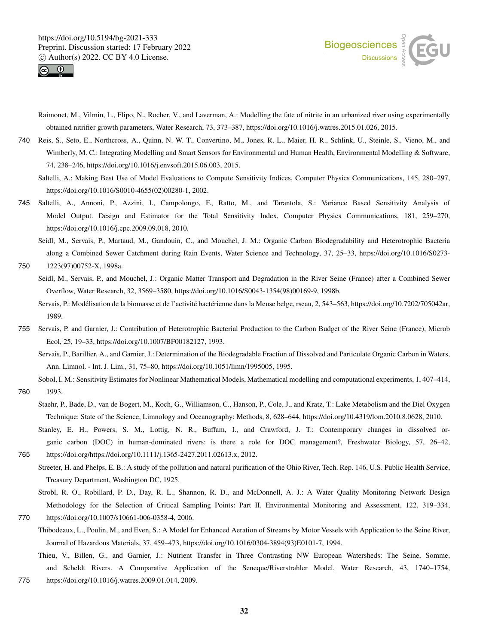



- Raimonet, M., Vilmin, L., Flipo, N., Rocher, V., and Laverman, A.: Modelling the fate of nitrite in an urbanized river using experimentally obtained nitrifier growth parameters, Water Research, 73, 373–387, https://doi.org/10.1016/j.watres.2015.01.026, 2015.
- 740 Reis, S., Seto, E., Northcross, A., Quinn, N. W. T., Convertino, M., Jones, R. L., Maier, H. R., Schlink, U., Steinle, S., Vieno, M., and Wimberly, M. C.: Integrating Modelling and Smart Sensors for Environmental and Human Health, Environmental Modelling & Software, 74, 238–246, https://doi.org/10.1016/j.envsoft.2015.06.003, 2015.
	- Saltelli, A.: Making Best Use of Model Evaluations to Compute Sensitivity Indices, Computer Physics Communications, 145, 280–297, https://doi.org/10.1016/S0010-4655(02)00280-1, 2002.
- 745 Saltelli, A., Annoni, P., Azzini, I., Campolongo, F., Ratto, M., and Tarantola, S.: Variance Based Sensitivity Analysis of Model Output. Design and Estimator for the Total Sensitivity Index, Computer Physics Communications, 181, 259–270, https://doi.org/10.1016/j.cpc.2009.09.018, 2010.

Seidl, M., Servais, P., Martaud, M., Gandouin, C., and Mouchel, J. M.: Organic Carbon Biodegradability and Heterotrophic Bacteria along a Combined Sewer Catchment during Rain Events, Water Science and Technology, 37, 25–33, https://doi.org/10.1016/S0273- 750 1223(97)00752-X, 1998a.

Seidl, M., Servais, P., and Mouchel, J.: Organic Matter Transport and Degradation in the River Seine (France) after a Combined Sewer Overflow, Water Research, 32, 3569–3580, https://doi.org/10.1016/S0043-1354(98)00169-9, 1998b.

Servais, P.: Modélisation de la biomasse et de l'activité bactérienne dans la Meuse belge, rseau, 2, 543–563, https://doi.org/10.7202/705042ar, 1989.

- 755 Servais, P. and Garnier, J.: Contribution of Heterotrophic Bacterial Production to the Carbon Budget of the River Seine (France), Microb Ecol, 25, 19–33, https://doi.org/10.1007/BF00182127, 1993.
	- Servais, P., Barillier, A., and Garnier, J.: Determination of the Biodegradable Fraction of Dissolved and Particulate Organic Carbon in Waters, Ann. Limnol. - Int. J. Lim., 31, 75–80, https://doi.org/10.1051/limn/1995005, 1995.

Sobol, I. M.: Sensitivity Estimates for Nonlinear Mathematical Models, Mathematical modelling and computational experiments, 1, 407–414,

760 1993.

- Staehr, P., Bade, D., van de Bogert, M., Koch, G., Williamson, C., Hanson, P., Cole, J., and Kratz, T.: Lake Metabolism and the Diel Oxygen Technique: State of the Science, Limnology and Oceanography: Methods, 8, 628–644, https://doi.org/10.4319/lom.2010.8.0628, 2010.
- Stanley, E. H., Powers, S. M., Lottig, N. R., Buffam, I., and Crawford, J. T.: Contemporary changes in dissolved organic carbon (DOC) in human-dominated rivers: is there a role for DOC management?, Freshwater Biology, 57, 26–42, 765 https://doi.org/https://doi.org/10.1111/j.1365-2427.2011.02613.x, 2012.
- Streeter, H. and Phelps, E. B.: A study of the pollution and natural purification of the Ohio River, Tech. Rep. 146, U.S. Public Health Service, Treasury Department, Washington DC, 1925.

Strobl, R. O., Robillard, P. D., Day, R. L., Shannon, R. D., and McDonnell, A. J.: A Water Quality Monitoring Network Design Methodology for the Selection of Critical Sampling Points: Part II, Environmental Monitoring and Assessment, 122, 319–334, 770 https://doi.org/10.1007/s10661-006-0358-4, 2006.

- Thibodeaux, L., Poulin, M., and Even, S.: A Model for Enhanced Aeration of Streams by Motor Vessels with Application to the Seine River, Journal of Hazardous Materials, 37, 459–473, https://doi.org/10.1016/0304-3894(93)E0101-7, 1994.
- Thieu, V., Billen, G., and Garnier, J.: Nutrient Transfer in Three Contrasting NW European Watersheds: The Seine, Somme, and Scheldt Rivers. A Comparative Application of the Seneque/Riverstrahler Model, Water Research, 43, 1740–1754,